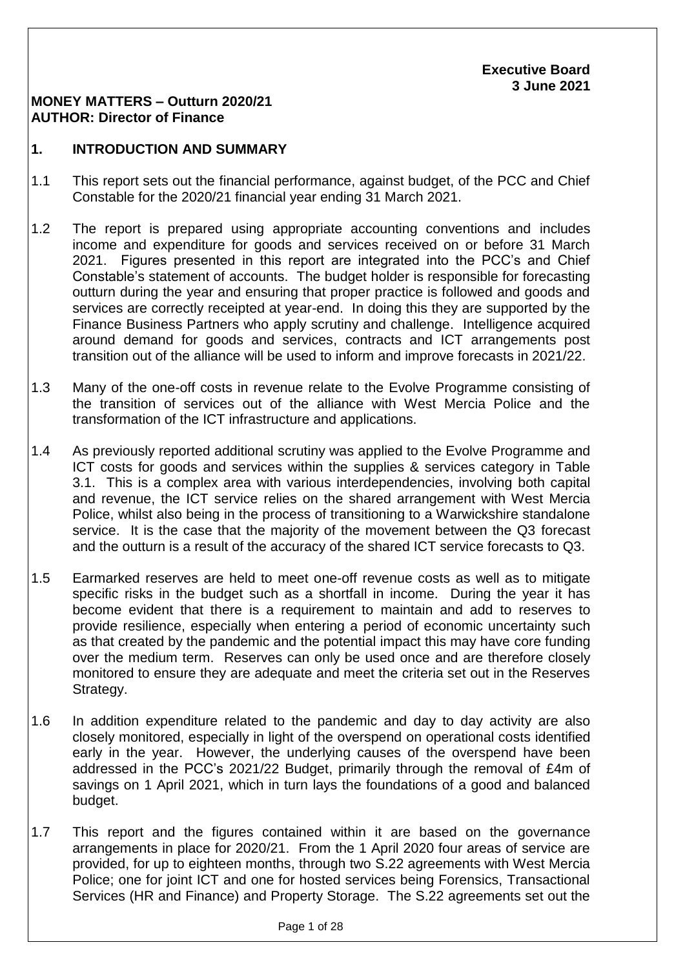### **MONEY MATTERS – Outturn 2020/21 AUTHOR: Director of Finance**

#### **1. INTRODUCTION AND SUMMARY**

- 1.1 This report sets out the financial performance, against budget, of the PCC and Chief Constable for the 2020/21 financial year ending 31 March 2021.
- 1.2 The report is prepared using appropriate accounting conventions and includes income and expenditure for goods and services received on or before 31 March 2021. Figures presented in this report are integrated into the PCC's and Chief Constable's statement of accounts. The budget holder is responsible for forecasting outturn during the year and ensuring that proper practice is followed and goods and services are correctly receipted at year-end. In doing this they are supported by the Finance Business Partners who apply scrutiny and challenge. Intelligence acquired around demand for goods and services, contracts and ICT arrangements post transition out of the alliance will be used to inform and improve forecasts in 2021/22.
- 1.3 Many of the one-off costs in revenue relate to the Evolve Programme consisting of the transition of services out of the alliance with West Mercia Police and the transformation of the ICT infrastructure and applications.
- 1.4 As previously reported additional scrutiny was applied to the Evolve Programme and ICT costs for goods and services within the supplies & services category in Table 3.1. This is a complex area with various interdependencies, involving both capital and revenue, the ICT service relies on the shared arrangement with West Mercia Police, whilst also being in the process of transitioning to a Warwickshire standalone service. It is the case that the majority of the movement between the Q3 forecast and the outturn is a result of the accuracy of the shared ICT service forecasts to Q3.
- 1.5 Earmarked reserves are held to meet one-off revenue costs as well as to mitigate specific risks in the budget such as a shortfall in income. During the year it has become evident that there is a requirement to maintain and add to reserves to provide resilience, especially when entering a period of economic uncertainty such as that created by the pandemic and the potential impact this may have core funding over the medium term. Reserves can only be used once and are therefore closely monitored to ensure they are adequate and meet the criteria set out in the Reserves Strategy.
- 1.6 In addition expenditure related to the pandemic and day to day activity are also closely monitored, especially in light of the overspend on operational costs identified early in the year. However, the underlying causes of the overspend have been addressed in the PCC's 2021/22 Budget, primarily through the removal of £4m of savings on 1 April 2021, which in turn lays the foundations of a good and balanced budget.
- 1.7 This report and the figures contained within it are based on the governance arrangements in place for 2020/21. From the 1 April 2020 four areas of service are provided, for up to eighteen months, through two S.22 agreements with West Mercia Police; one for joint ICT and one for hosted services being Forensics, Transactional Services (HR and Finance) and Property Storage. The S.22 agreements set out the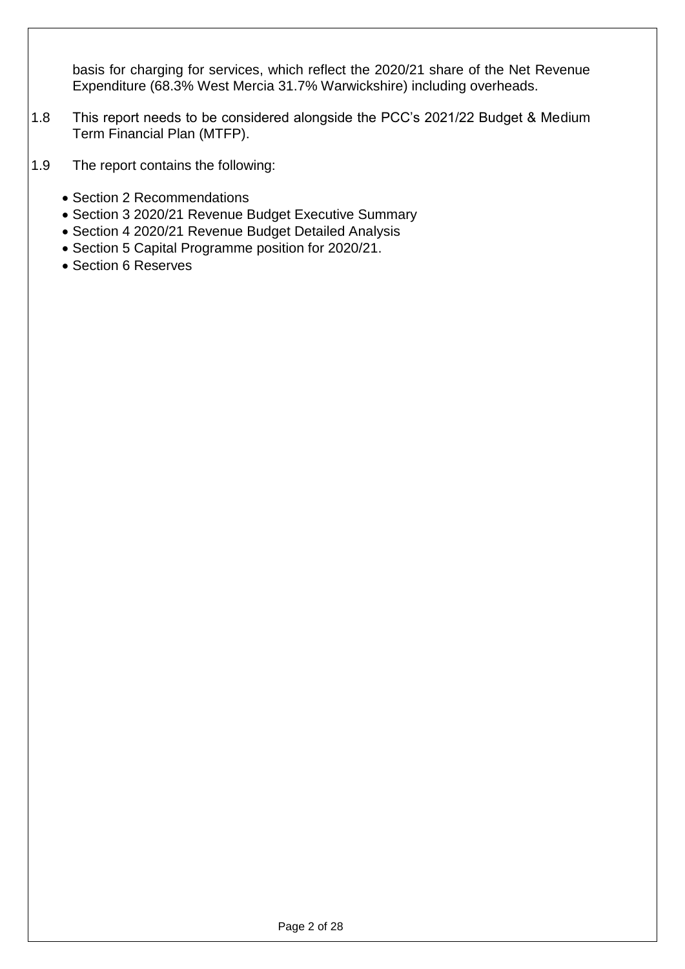basis for charging for services, which reflect the 2020/21 share of the Net Revenue Expenditure (68.3% West Mercia 31.7% Warwickshire) including overheads.

- 1.8 This report needs to be considered alongside the PCC's 2021/22 Budget & Medium Term Financial Plan (MTFP).
- 1.9 The report contains the following:
	- Section 2 Recommendations
	- Section 3 2020/21 Revenue Budget Executive Summary
	- Section 4 2020/21 Revenue Budget Detailed Analysis
	- Section 5 Capital Programme position for 2020/21.
	- Section 6 Reserves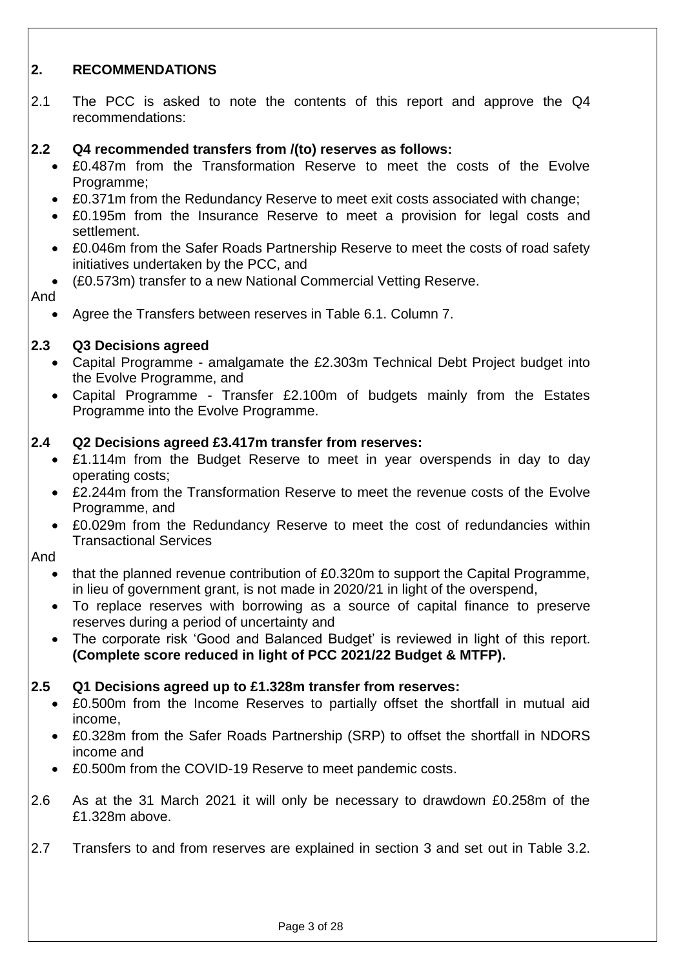## **2. RECOMMENDATIONS**

2.1 The PCC is asked to note the contents of this report and approve the Q4 recommendations:

#### **2.2 Q4 recommended transfers from /(to) reserves as follows:**

- £0.487m from the Transformation Reserve to meet the costs of the Evolve Programme;
- £0.371m from the Redundancy Reserve to meet exit costs associated with change;
- £0.195m from the Insurance Reserve to meet a provision for legal costs and settlement.
- £0.046m from the Safer Roads Partnership Reserve to meet the costs of road safety initiatives undertaken by the PCC, and
- (£0.573m) transfer to a new National Commercial Vetting Reserve.

And

Agree the Transfers between reserves in Table 6.1. Column 7.

### **2.3 Q3 Decisions agreed**

- Capital Programme amalgamate the £2.303m Technical Debt Project budget into the Evolve Programme, and
- Capital Programme Transfer £2.100m of budgets mainly from the Estates Programme into the Evolve Programme.

#### **2.4 Q2 Decisions agreed £3.417m transfer from reserves:**

- £1.114m from the Budget Reserve to meet in year overspends in day to day operating costs;
- £2.244m from the Transformation Reserve to meet the revenue costs of the Evolve Programme, and
- £0.029m from the Redundancy Reserve to meet the cost of redundancies within Transactional Services

And

- that the planned revenue contribution of £0.320m to support the Capital Programme, in lieu of government grant, is not made in 2020/21 in light of the overspend,
- To replace reserves with borrowing as a source of capital finance to preserve reserves during a period of uncertainty and
- The corporate risk 'Good and Balanced Budget' is reviewed in light of this report. **(Complete score reduced in light of PCC 2021/22 Budget & MTFP).**

#### **2.5 Q1 Decisions agreed up to £1.328m transfer from reserves:**

- £0.500m from the Income Reserves to partially offset the shortfall in mutual aid income,
- £0.328m from the Safer Roads Partnership (SRP) to offset the shortfall in NDORS income and
- £0.500m from the COVID-19 Reserve to meet pandemic costs.
- 2.6 As at the 31 March 2021 it will only be necessary to drawdown £0.258m of the £1.328m above.
- 2.7 Transfers to and from reserves are explained in section 3 and set out in Table 3.2.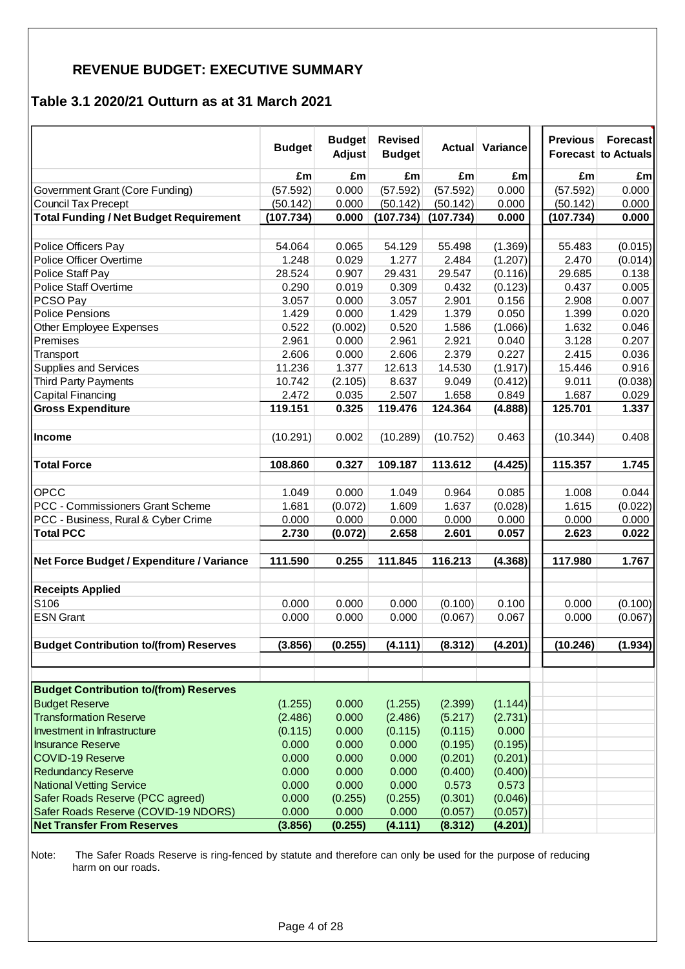# **REVENUE BUDGET: EXECUTIVE SUMMARY**

## **Table 3.1 2020/21 Outturn as at 31 March 2021**

|                                               |               | <b>Budget</b> | <b>Revised</b> |           |                        | <b>Previous</b> | Forecast            |
|-----------------------------------------------|---------------|---------------|----------------|-----------|------------------------|-----------------|---------------------|
|                                               | <b>Budget</b> | Adjust        | <b>Budget</b>  |           | <b>Actual Variance</b> |                 | Forecast to Actuals |
|                                               | £m            | £m            | £m             | £m        | £m                     | £m              | £m                  |
| Government Grant (Core Funding)               | (57.592)      | 0.000         | (57.592)       | (57.592)  | 0.000                  | (57.592)        | 0.000               |
| <b>Council Tax Precept</b>                    | (50.142)      | 0.000         | (50.142)       | (50.142)  | 0.000                  | (50.142)        | 0.000               |
| <b>Total Funding / Net Budget Requirement</b> | (107.734)     | 0.000         | (107.734)      | (107.734) | 0.000                  | (107.734)       | 0.000               |
|                                               |               |               |                |           |                        |                 |                     |
| Police Officers Pay                           | 54.064        | 0.065         | 54.129         | 55.498    | (1.369)                | 55.483          | (0.015)             |
| Police Officer Overtime                       | 1.248         | 0.029         | 1.277          | 2.484     | (1.207)                | 2.470           | (0.014)             |
| Police Staff Pay                              | 28.524        | 0.907         | 29.431         | 29.547    | (0.116)                | 29.685          | 0.138               |
| <b>Police Staff Overtime</b>                  | 0.290         | 0.019         | 0.309          | 0.432     | (0.123)                | 0.437           | 0.005               |
| PCSO Pay                                      | 3.057         | 0.000         | 3.057          | 2.901     | 0.156                  | 2.908           | 0.007               |
| <b>Police Pensions</b>                        | 1.429         | 0.000         | 1.429          | 1.379     | 0.050                  | 1.399           | 0.020               |
| Other Employee Expenses                       | 0.522         | (0.002)       | 0.520          | 1.586     | (1.066)                | 1.632           | 0.046               |
| Premises                                      | 2.961         | 0.000         | 2.961          | 2.921     | 0.040                  | 3.128           | 0.207               |
| Transport                                     | 2.606         | 0.000         | 2.606          | 2.379     | 0.227                  | 2.415           | 0.036               |
| <b>Supplies and Services</b>                  | 11.236        | 1.377         | 12.613         | 14.530    | (1.917)                | 15.446          | 0.916               |
| Third Party Payments                          | 10.742        | (2.105)       | 8.637          | 9.049     | (0.412)                | 9.011           | (0.038)             |
| Capital Financing                             | 2.472         | 0.035         | 2.507          | 1.658     | 0.849                  | 1.687           | 0.029               |
| <b>Gross Expenditure</b>                      | 119.151       | 0.325         | 119.476        | 124.364   | (4.888)                | 125.701         | 1.337               |
|                                               |               |               |                |           |                        |                 |                     |
| <b>Income</b>                                 | (10.291)      | 0.002         | (10.289)       | (10.752)  | 0.463                  | (10.344)        | 0.408               |
| <b>Total Force</b>                            | 108.860       | 0.327         | 109.187        | 113.612   | (4.425)                | 115.357         | 1.745               |
|                                               |               |               |                |           |                        |                 |                     |
| <b>OPCC</b>                                   | 1.049         | 0.000         | 1.049          | 0.964     | 0.085                  | 1.008           | 0.044               |
| PCC - Commissioners Grant Scheme              | 1.681         | (0.072)       | 1.609          | 1.637     | (0.028)                | 1.615           | (0.022)             |
| PCC - Business, Rural & Cyber Crime           | 0.000         | 0.000         | 0.000          | 0.000     | 0.000                  | 0.000           | 0.000               |
| <b>Total PCC</b>                              | 2.730         | (0.072)       | 2.658          | 2.601     | 0.057                  | 2.623           | 0.022               |
|                                               |               |               |                |           |                        |                 |                     |
| Net Force Budget / Expenditure / Variance     | 111.590       | 0.255         | 111.845        | 116.213   | (4.368)                | 117.980         | 1.767               |
| <b>Receipts Applied</b>                       |               |               |                |           |                        |                 |                     |
| S106                                          | 0.000         | 0.000         | 0.000          | (0.100)   | 0.100                  | 0.000           | (0.100)             |
| <b>ESN</b> Grant                              | 0.000         | 0.000         | 0.000          | (0.067)   | 0.067                  | 0.000           | (0.067)             |
|                                               |               |               |                |           |                        |                 |                     |
| <b>Budget Contribution to/(from) Reserves</b> | (3.856)       | (0.255)       | (4.111)        | (8.312)   | (4.201)                | (10.246)        | (1.934)             |
|                                               |               |               |                |           |                        |                 |                     |
| <b>Budget Contribution to/(from) Reserves</b> |               |               |                |           |                        |                 |                     |
| <b>Budget Reserve</b>                         | (1.255)       | 0.000         | (1.255)        | (2.399)   | (1.144)                |                 |                     |
| <b>Transformation Reserve</b>                 | (2.486)       | 0.000         | (2.486)        | (5.217)   | (2.731)                |                 |                     |
| Investment in Infrastructure                  | (0.115)       | 0.000         | (0.115)        | (0.115)   | 0.000                  |                 |                     |
| <b>Insurance Reserve</b>                      | 0.000         | 0.000         | 0.000          | (0.195)   | (0.195)                |                 |                     |
| COVID-19 Reserve                              | 0.000         | 0.000         | 0.000          | (0.201)   | (0.201)                |                 |                     |
| <b>Redundancy Reserve</b>                     | 0.000         | 0.000         | 0.000          | (0.400)   | (0.400)                |                 |                     |
| <b>National Vetting Service</b>               | 0.000         | 0.000         | 0.000          | 0.573     | 0.573                  |                 |                     |
| Safer Roads Reserve (PCC agreed)              | 0.000         | (0.255)       | (0.255)        | (0.301)   | (0.046)                |                 |                     |
| Safer Roads Reserve (COVID-19 NDORS)          | 0.000         | 0.000         | 0.000          | (0.057)   | (0.057)                |                 |                     |
| <b>Net Transfer From Reserves</b>             | (3.856)       | (0.255)       | (4.111)        | (8.312)   | (4.201)                |                 |                     |

Note: The Safer Roads Reserve is ring-fenced by statute and therefore can only be used for the purpose of reducing harm on our roads.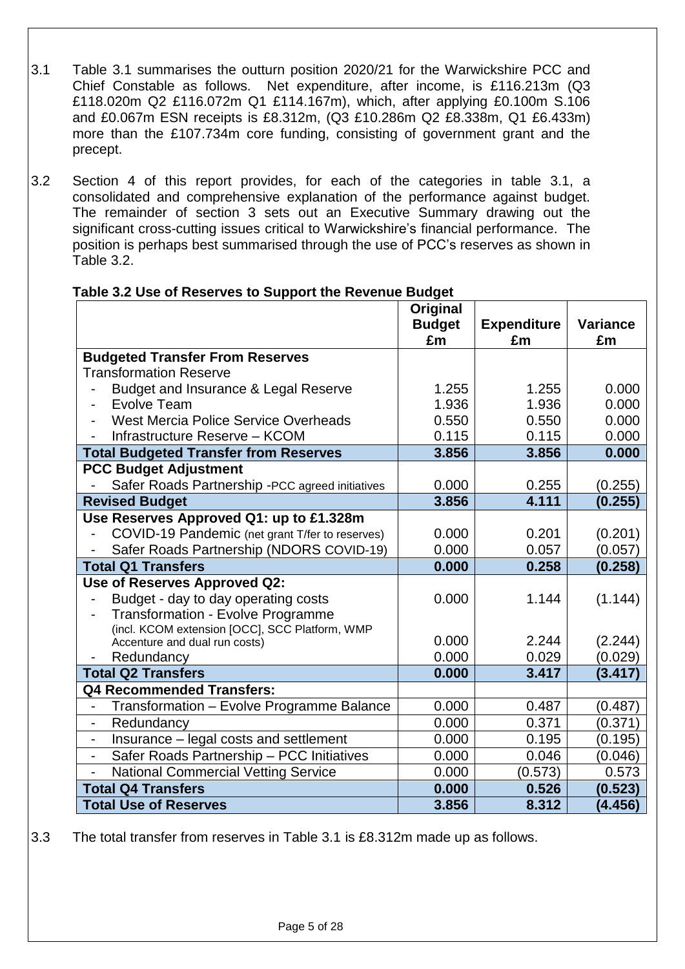- 3.1 Table 3.1 summarises the outturn position 2020/21 for the Warwickshire PCC and Chief Constable as follows. Net expenditure, after income, is £116.213m (Q3 £118.020m Q2 £116.072m Q1 £114.167m), which, after applying £0.100m S.106 and £0.067m ESN receipts is £8.312m, (Q3 £10.286m Q2 £8.338m, Q1 £6.433m) more than the £107.734m core funding, consisting of government grant and the precept.
- 3.2 Section 4 of this report provides, for each of the categories in table 3.1, a consolidated and comprehensive explanation of the performance against budget. The remainder of section 3 sets out an Executive Summary drawing out the significant cross-cutting issues critical to Warwickshire's financial performance. The position is perhaps best summarised through the use of PCC's reserves as shown in Table 3.2.

|                          |                                                 | Original      |                    |                 |
|--------------------------|-------------------------------------------------|---------------|--------------------|-----------------|
|                          |                                                 | <b>Budget</b> | <b>Expenditure</b> | <b>Variance</b> |
|                          |                                                 | £m            | £m                 | £m              |
|                          | <b>Budgeted Transfer From Reserves</b>          |               |                    |                 |
|                          | <b>Transformation Reserve</b>                   |               |                    |                 |
|                          | Budget and Insurance & Legal Reserve            | 1.255         | 1.255              | 0.000           |
|                          | <b>Evolve Team</b>                              | 1.936         | 1.936              | 0.000           |
|                          | West Mercia Police Service Overheads            | 0.550         | 0.550              | 0.000           |
|                          | Infrastructure Reserve - KCOM                   | 0.115         | 0.115              | 0.000           |
|                          | <b>Total Budgeted Transfer from Reserves</b>    | 3.856         | 3.856              | 0.000           |
|                          | <b>PCC Budget Adjustment</b>                    |               |                    |                 |
|                          | Safer Roads Partnership -PCC agreed initiatives | 0.000         | 0.255              | (0.255)         |
|                          | <b>Revised Budget</b>                           | 3.856         | 4.111              | (0.255)         |
|                          | Use Reserves Approved Q1: up to £1.328m         |               |                    |                 |
|                          | COVID-19 Pandemic (net grant T/fer to reserves) | 0.000         | 0.201              | (0.201)         |
|                          | Safer Roads Partnership (NDORS COVID-19)        | 0.000         | 0.057              | (0.057)         |
|                          | <b>Total Q1 Transfers</b>                       | 0.000         | 0.258              | (0.258)         |
|                          | Use of Reserves Approved Q2:                    |               |                    |                 |
|                          | Budget - day to day operating costs             | 0.000         | 1.144              | (1.144)         |
|                          | <b>Transformation - Evolve Programme</b>        |               |                    |                 |
|                          | (incl. KCOM extension [OCC], SCC Platform, WMP  | 0.000         | 2.244              | (2.244)         |
|                          | Accenture and dual run costs)<br>Redundancy     | 0.000         | 0.029              | (0.029)         |
|                          | <b>Total Q2 Transfers</b>                       | 0.000         | 3.417              | (3.417)         |
|                          | <b>Q4 Recommended Transfers:</b>                |               |                    |                 |
|                          | Transformation - Evolve Programme Balance       | 0.000         | 0.487              | (0.487)         |
| $\overline{\phantom{a}}$ | Redundancy                                      | 0.000         | 0.371              | (0.371)         |
| $\blacksquare$           | Insurance - legal costs and settlement          | 0.000         | 0.195              | (0.195)         |
| $\blacksquare$           | Safer Roads Partnership - PCC Initiatives       | 0.000         | 0.046              | (0.046)         |
|                          | <b>National Commercial Vetting Service</b>      | 0.000         | (0.573)            | 0.573           |
|                          | <b>Total Q4 Transfers</b>                       | 0.000         | 0.526              | (0.523)         |
|                          | <b>Total Use of Reserves</b>                    | 3.856         | 8.312              | (4.456)         |
|                          |                                                 |               |                    |                 |

#### **Table 3.2 Use of Reserves to Support the Revenue Budget**

3.3 The total transfer from reserves in Table 3.1 is £8.312m made up as follows.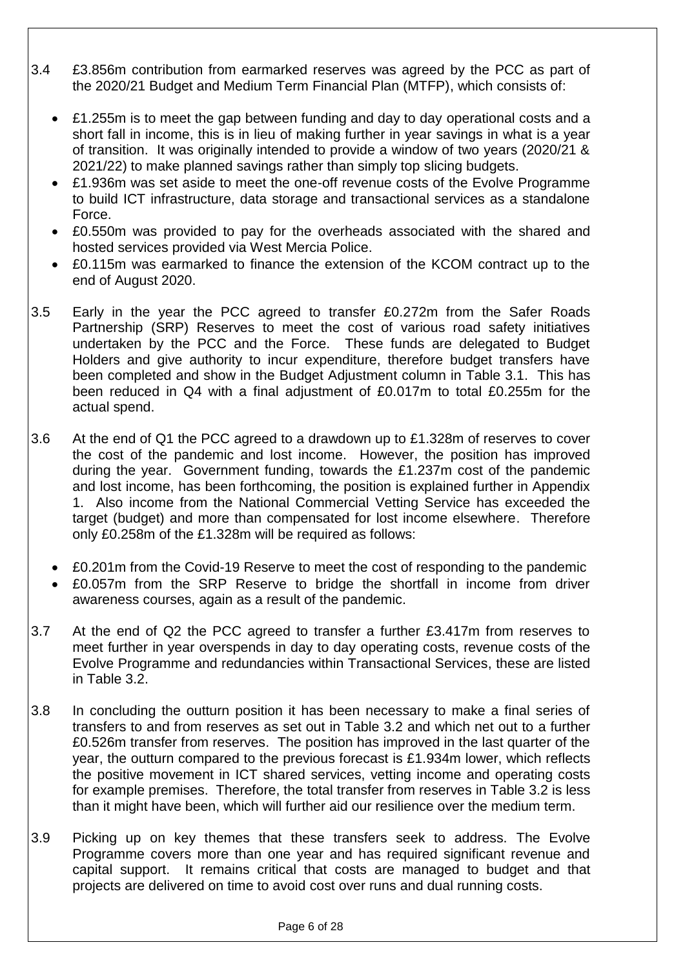- 3.4 £3.856m contribution from earmarked reserves was agreed by the PCC as part of the 2020/21 Budget and Medium Term Financial Plan (MTFP), which consists of:
	- £1.255m is to meet the gap between funding and day to day operational costs and a short fall in income, this is in lieu of making further in year savings in what is a year of transition. It was originally intended to provide a window of two years (2020/21 & 2021/22) to make planned savings rather than simply top slicing budgets.
	- £1.936m was set aside to meet the one-off revenue costs of the Evolve Programme to build ICT infrastructure, data storage and transactional services as a standalone Force.
	- £0.550m was provided to pay for the overheads associated with the shared and hosted services provided via West Mercia Police.
	- £0.115m was earmarked to finance the extension of the KCOM contract up to the end of August 2020.
- 3.5 Early in the year the PCC agreed to transfer £0.272m from the Safer Roads Partnership (SRP) Reserves to meet the cost of various road safety initiatives undertaken by the PCC and the Force. These funds are delegated to Budget Holders and give authority to incur expenditure, therefore budget transfers have been completed and show in the Budget Adjustment column in Table 3.1. This has been reduced in Q4 with a final adjustment of £0.017m to total £0.255m for the actual spend.
- 3.6 At the end of Q1 the PCC agreed to a drawdown up to £1.328m of reserves to cover the cost of the pandemic and lost income. However, the position has improved during the year. Government funding, towards the £1.237m cost of the pandemic and lost income, has been forthcoming, the position is explained further in Appendix 1. Also income from the National Commercial Vetting Service has exceeded the target (budget) and more than compensated for lost income elsewhere. Therefore only £0.258m of the £1.328m will be required as follows:
	- £0.201m from the Covid-19 Reserve to meet the cost of responding to the pandemic
	- £0.057m from the SRP Reserve to bridge the shortfall in income from driver awareness courses, again as a result of the pandemic.
- 3.7 At the end of Q2 the PCC agreed to transfer a further £3.417m from reserves to meet further in year overspends in day to day operating costs, revenue costs of the Evolve Programme and redundancies within Transactional Services, these are listed in Table 3.2.
- 3.8 In concluding the outturn position it has been necessary to make a final series of transfers to and from reserves as set out in Table 3.2 and which net out to a further £0.526m transfer from reserves. The position has improved in the last quarter of the year, the outturn compared to the previous forecast is £1.934m lower, which reflects the positive movement in ICT shared services, vetting income and operating costs for example premises. Therefore, the total transfer from reserves in Table 3.2 is less than it might have been, which will further aid our resilience over the medium term.
- 3.9 Picking up on key themes that these transfers seek to address. The Evolve Programme covers more than one year and has required significant revenue and capital support. It remains critical that costs are managed to budget and that projects are delivered on time to avoid cost over runs and dual running costs.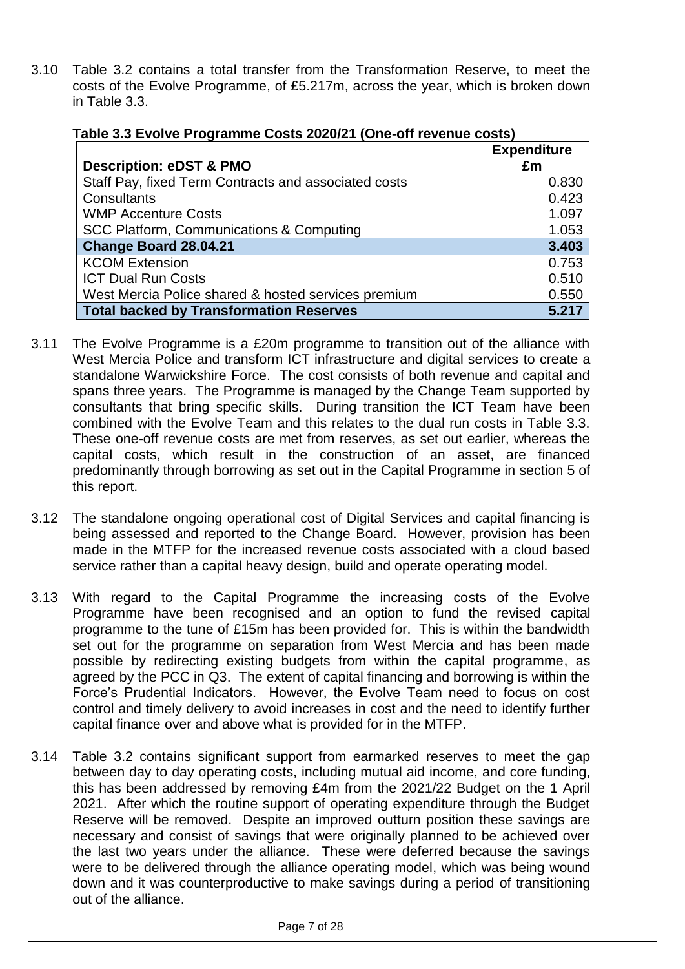3.10 Table 3.2 contains a total transfer from the Transformation Reserve, to meet the costs of the Evolve Programme, of £5.217m, across the year, which is broken down in Table 3.3.

|                                                      | <b>Expenditure</b> |
|------------------------------------------------------|--------------------|
| <b>Description: eDST &amp; PMO</b>                   | £m                 |
| Staff Pay, fixed Term Contracts and associated costs | 0.830              |
| Consultants                                          | 0.423              |
| <b>WMP Accenture Costs</b>                           | 1.097              |
| SCC Platform, Communications & Computing             | 1.053              |
| Change Board 28.04.21                                | 3.403              |
| <b>KCOM Extension</b>                                | 0.753              |
| <b>ICT Dual Run Costs</b>                            | 0.510              |
| West Mercia Police shared & hosted services premium  | 0.550              |
| <b>Total backed by Transformation Reserves</b>       | 5.217              |

### **Table 3.3 Evolve Programme Costs 2020/21 (One-off revenue costs)**

- 3.11 The Evolve Programme is a £20m programme to transition out of the alliance with West Mercia Police and transform ICT infrastructure and digital services to create a standalone Warwickshire Force. The cost consists of both revenue and capital and spans three years. The Programme is managed by the Change Team supported by consultants that bring specific skills. During transition the ICT Team have been combined with the Evolve Team and this relates to the dual run costs in Table 3.3. These one-off revenue costs are met from reserves, as set out earlier, whereas the capital costs, which result in the construction of an asset, are financed predominantly through borrowing as set out in the Capital Programme in section 5 of this report.
- 3.12 The standalone ongoing operational cost of Digital Services and capital financing is being assessed and reported to the Change Board. However, provision has been made in the MTFP for the increased revenue costs associated with a cloud based service rather than a capital heavy design, build and operate operating model.
- 3.13 With regard to the Capital Programme the increasing costs of the Evolve Programme have been recognised and an option to fund the revised capital programme to the tune of £15m has been provided for. This is within the bandwidth set out for the programme on separation from West Mercia and has been made possible by redirecting existing budgets from within the capital programme, as agreed by the PCC in Q3. The extent of capital financing and borrowing is within the Force's Prudential Indicators. However, the Evolve Team need to focus on cost control and timely delivery to avoid increases in cost and the need to identify further capital finance over and above what is provided for in the MTFP.
- 3.14 Table 3.2 contains significant support from earmarked reserves to meet the gap between day to day operating costs, including mutual aid income, and core funding, this has been addressed by removing £4m from the 2021/22 Budget on the 1 April 2021. After which the routine support of operating expenditure through the Budget Reserve will be removed. Despite an improved outturn position these savings are necessary and consist of savings that were originally planned to be achieved over the last two years under the alliance. These were deferred because the savings were to be delivered through the alliance operating model, which was being wound down and it was counterproductive to make savings during a period of transitioning out of the alliance.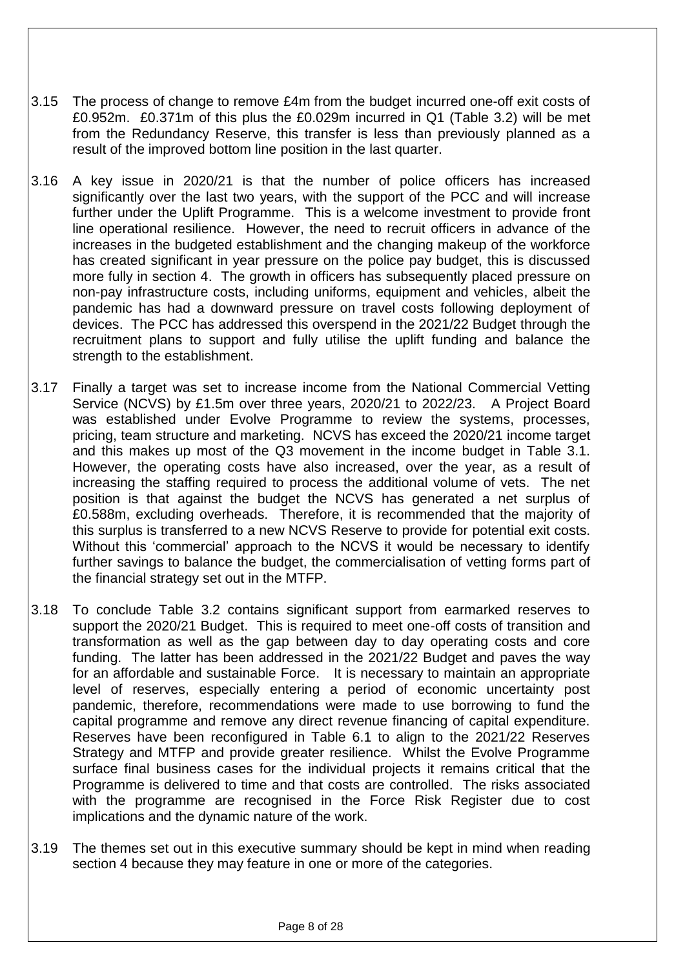- 3.15 The process of change to remove £4m from the budget incurred one-off exit costs of £0.952m. £0.371m of this plus the £0.029m incurred in Q1 (Table 3.2) will be met from the Redundancy Reserve, this transfer is less than previously planned as a result of the improved bottom line position in the last quarter.
- 3.16 A key issue in 2020/21 is that the number of police officers has increased significantly over the last two years, with the support of the PCC and will increase further under the Uplift Programme. This is a welcome investment to provide front line operational resilience. However, the need to recruit officers in advance of the increases in the budgeted establishment and the changing makeup of the workforce has created significant in year pressure on the police pay budget, this is discussed more fully in section 4. The growth in officers has subsequently placed pressure on non-pay infrastructure costs, including uniforms, equipment and vehicles, albeit the pandemic has had a downward pressure on travel costs following deployment of devices. The PCC has addressed this overspend in the 2021/22 Budget through the recruitment plans to support and fully utilise the uplift funding and balance the strength to the establishment.
- 3.17 Finally a target was set to increase income from the National Commercial Vetting Service (NCVS) by £1.5m over three years, 2020/21 to 2022/23. A Project Board was established under Evolve Programme to review the systems, processes, pricing, team structure and marketing. NCVS has exceed the 2020/21 income target and this makes up most of the Q3 movement in the income budget in Table 3.1. However, the operating costs have also increased, over the year, as a result of increasing the staffing required to process the additional volume of vets. The net position is that against the budget the NCVS has generated a net surplus of £0.588m, excluding overheads. Therefore, it is recommended that the majority of this surplus is transferred to a new NCVS Reserve to provide for potential exit costs. Without this 'commercial' approach to the NCVS it would be necessary to identify further savings to balance the budget, the commercialisation of vetting forms part of the financial strategy set out in the MTFP.
- 3.18 To conclude Table 3.2 contains significant support from earmarked reserves to support the 2020/21 Budget. This is required to meet one-off costs of transition and transformation as well as the gap between day to day operating costs and core funding. The latter has been addressed in the 2021/22 Budget and paves the way for an affordable and sustainable Force. It is necessary to maintain an appropriate level of reserves, especially entering a period of economic uncertainty post pandemic, therefore, recommendations were made to use borrowing to fund the capital programme and remove any direct revenue financing of capital expenditure. Reserves have been reconfigured in Table 6.1 to align to the 2021/22 Reserves Strategy and MTFP and provide greater resilience. Whilst the Evolve Programme surface final business cases for the individual projects it remains critical that the Programme is delivered to time and that costs are controlled. The risks associated with the programme are recognised in the Force Risk Register due to cost implications and the dynamic nature of the work.
- 3.19 The themes set out in this executive summary should be kept in mind when reading section 4 because they may feature in one or more of the categories.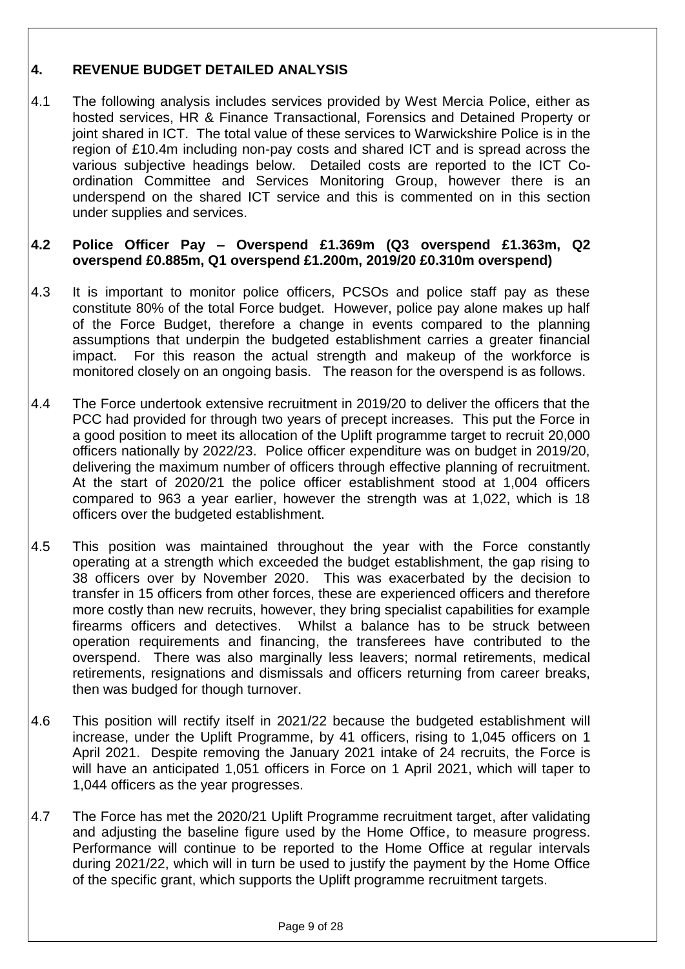## **4. REVENUE BUDGET DETAILED ANALYSIS**

4.1 The following analysis includes services provided by West Mercia Police, either as hosted services, HR & Finance Transactional, Forensics and Detained Property or joint shared in ICT. The total value of these services to Warwickshire Police is in the region of £10.4m including non-pay costs and shared ICT and is spread across the various subjective headings below. Detailed costs are reported to the ICT Coordination Committee and Services Monitoring Group, however there is an underspend on the shared ICT service and this is commented on in this section under supplies and services.

### **4.2 Police Officer Pay – Overspend £1.369m (Q3 overspend £1.363m, Q2 overspend £0.885m, Q1 overspend £1.200m, 2019/20 £0.310m overspend)**

- 4.3 It is important to monitor police officers, PCSOs and police staff pay as these constitute 80% of the total Force budget. However, police pay alone makes up half of the Force Budget, therefore a change in events compared to the planning assumptions that underpin the budgeted establishment carries a greater financial impact. For this reason the actual strength and makeup of the workforce is monitored closely on an ongoing basis. The reason for the overspend is as follows.
- 4.4 The Force undertook extensive recruitment in 2019/20 to deliver the officers that the PCC had provided for through two years of precept increases. This put the Force in a good position to meet its allocation of the Uplift programme target to recruit 20,000 officers nationally by 2022/23. Police officer expenditure was on budget in 2019/20, delivering the maximum number of officers through effective planning of recruitment. At the start of 2020/21 the police officer establishment stood at 1,004 officers compared to 963 a year earlier, however the strength was at 1,022, which is 18 officers over the budgeted establishment.
- 4.5 This position was maintained throughout the year with the Force constantly operating at a strength which exceeded the budget establishment, the gap rising to 38 officers over by November 2020. This was exacerbated by the decision to transfer in 15 officers from other forces, these are experienced officers and therefore more costly than new recruits, however, they bring specialist capabilities for example firearms officers and detectives. Whilst a balance has to be struck between operation requirements and financing, the transferees have contributed to the overspend. There was also marginally less leavers; normal retirements, medical retirements, resignations and dismissals and officers returning from career breaks, then was budged for though turnover.
- 4.6 This position will rectify itself in 2021/22 because the budgeted establishment will increase, under the Uplift Programme, by 41 officers, rising to 1,045 officers on 1 April 2021. Despite removing the January 2021 intake of 24 recruits, the Force is will have an anticipated 1,051 officers in Force on 1 April 2021, which will taper to 1,044 officers as the year progresses.
- 4.7 The Force has met the 2020/21 Uplift Programme recruitment target, after validating and adjusting the baseline figure used by the Home Office, to measure progress. Performance will continue to be reported to the Home Office at regular intervals during 2021/22, which will in turn be used to justify the payment by the Home Office of the specific grant, which supports the Uplift programme recruitment targets.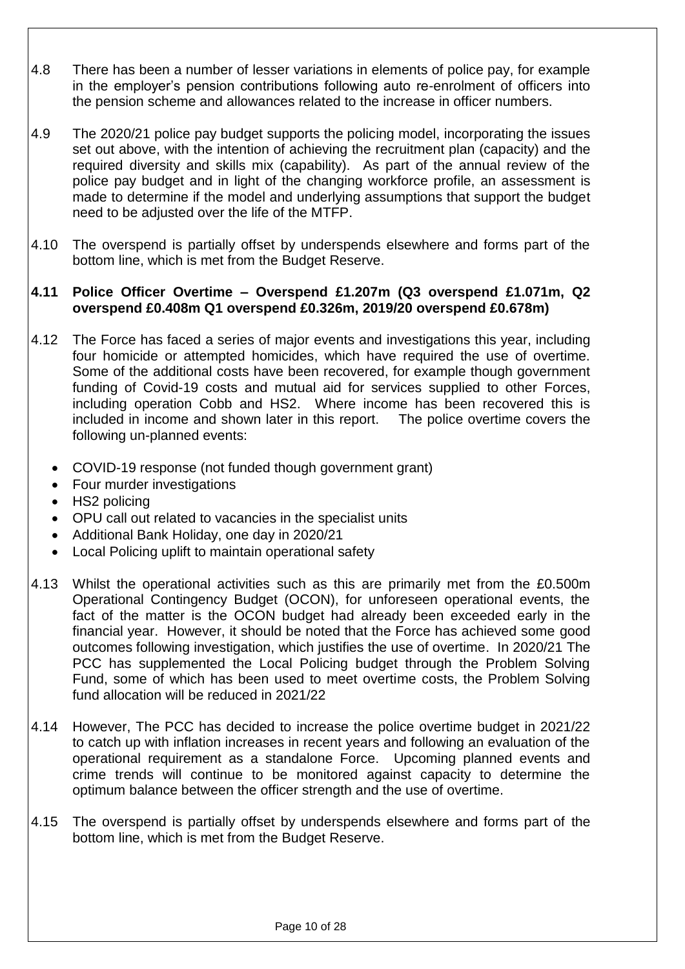- 4.8 There has been a number of lesser variations in elements of police pay, for example in the employer's pension contributions following auto re-enrolment of officers into the pension scheme and allowances related to the increase in officer numbers.
- 4.9 The 2020/21 police pay budget supports the policing model, incorporating the issues set out above, with the intention of achieving the recruitment plan (capacity) and the required diversity and skills mix (capability). As part of the annual review of the police pay budget and in light of the changing workforce profile, an assessment is made to determine if the model and underlying assumptions that support the budget need to be adjusted over the life of the MTFP.
- 4.10 The overspend is partially offset by underspends elsewhere and forms part of the bottom line, which is met from the Budget Reserve.

#### **4.11 Police Officer Overtime – Overspend £1.207m (Q3 overspend £1.071m, Q2 overspend £0.408m Q1 overspend £0.326m, 2019/20 overspend £0.678m)**

- 4.12 The Force has faced a series of major events and investigations this year, including four homicide or attempted homicides, which have required the use of overtime. Some of the additional costs have been recovered, for example though government funding of Covid-19 costs and mutual aid for services supplied to other Forces, including operation Cobb and HS2. Where income has been recovered this is included in income and shown later in this report. The police overtime covers the following un-planned events:
	- COVID-19 response (not funded though government grant)
	- Four murder investigations
	- HS2 policing
	- OPU call out related to vacancies in the specialist units
	- Additional Bank Holiday, one day in 2020/21
	- Local Policing uplift to maintain operational safety
- 4.13 Whilst the operational activities such as this are primarily met from the £0.500m Operational Contingency Budget (OCON), for unforeseen operational events, the fact of the matter is the OCON budget had already been exceeded early in the financial year. However, it should be noted that the Force has achieved some good outcomes following investigation, which justifies the use of overtime. In 2020/21 The PCC has supplemented the Local Policing budget through the Problem Solving Fund, some of which has been used to meet overtime costs, the Problem Solving fund allocation will be reduced in 2021/22
- 4.14 However, The PCC has decided to increase the police overtime budget in 2021/22 to catch up with inflation increases in recent years and following an evaluation of the operational requirement as a standalone Force. Upcoming planned events and crime trends will continue to be monitored against capacity to determine the optimum balance between the officer strength and the use of overtime.
- 4.15 The overspend is partially offset by underspends elsewhere and forms part of the bottom line, which is met from the Budget Reserve.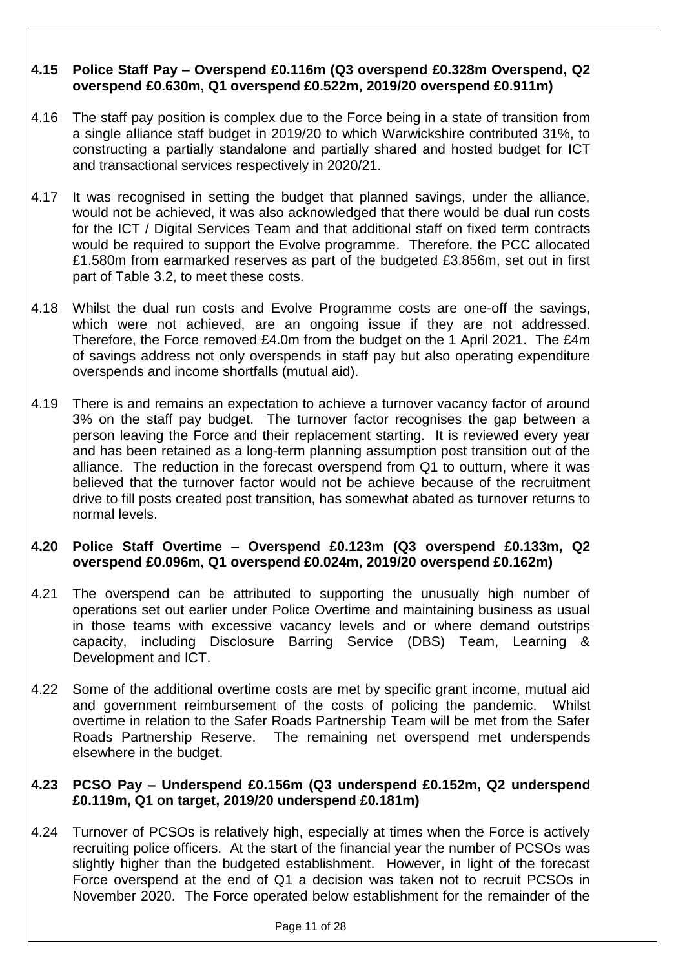### **4.15 Police Staff Pay – Overspend £0.116m (Q3 overspend £0.328m Overspend, Q2 overspend £0.630m, Q1 overspend £0.522m, 2019/20 overspend £0.911m)**

- 4.16 The staff pay position is complex due to the Force being in a state of transition from a single alliance staff budget in 2019/20 to which Warwickshire contributed 31%, to constructing a partially standalone and partially shared and hosted budget for ICT and transactional services respectively in 2020/21.
- 4.17 It was recognised in setting the budget that planned savings, under the alliance, would not be achieved, it was also acknowledged that there would be dual run costs for the ICT / Digital Services Team and that additional staff on fixed term contracts would be required to support the Evolve programme. Therefore, the PCC allocated £1.580m from earmarked reserves as part of the budgeted £3.856m, set out in first part of Table 3.2, to meet these costs.
- 4.18 Whilst the dual run costs and Evolve Programme costs are one-off the savings, which were not achieved, are an ongoing issue if they are not addressed. Therefore, the Force removed £4.0m from the budget on the 1 April 2021. The £4m of savings address not only overspends in staff pay but also operating expenditure overspends and income shortfalls (mutual aid).
- 4.19 There is and remains an expectation to achieve a turnover vacancy factor of around 3% on the staff pay budget. The turnover factor recognises the gap between a person leaving the Force and their replacement starting. It is reviewed every year and has been retained as a long-term planning assumption post transition out of the alliance. The reduction in the forecast overspend from Q1 to outturn, where it was believed that the turnover factor would not be achieve because of the recruitment drive to fill posts created post transition, has somewhat abated as turnover returns to normal levels.

#### **4.20 Police Staff Overtime – Overspend £0.123m (Q3 overspend £0.133m, Q2 overspend £0.096m, Q1 overspend £0.024m, 2019/20 overspend £0.162m)**

- 4.21 The overspend can be attributed to supporting the unusually high number of operations set out earlier under Police Overtime and maintaining business as usual in those teams with excessive vacancy levels and or where demand outstrips capacity, including Disclosure Barring Service (DBS) Team, Learning & Development and ICT.
- 4.22 Some of the additional overtime costs are met by specific grant income, mutual aid and government reimbursement of the costs of policing the pandemic. Whilst overtime in relation to the Safer Roads Partnership Team will be met from the Safer Roads Partnership Reserve. The remaining net overspend met underspends elsewhere in the budget.

#### **4.23 PCSO Pay – Underspend £0.156m (Q3 underspend £0.152m, Q2 underspend £0.119m, Q1 on target, 2019/20 underspend £0.181m)**

4.24 Turnover of PCSOs is relatively high, especially at times when the Force is actively recruiting police officers. At the start of the financial year the number of PCSOs was slightly higher than the budgeted establishment. However, in light of the forecast Force overspend at the end of Q1 a decision was taken not to recruit PCSOs in November 2020. The Force operated below establishment for the remainder of the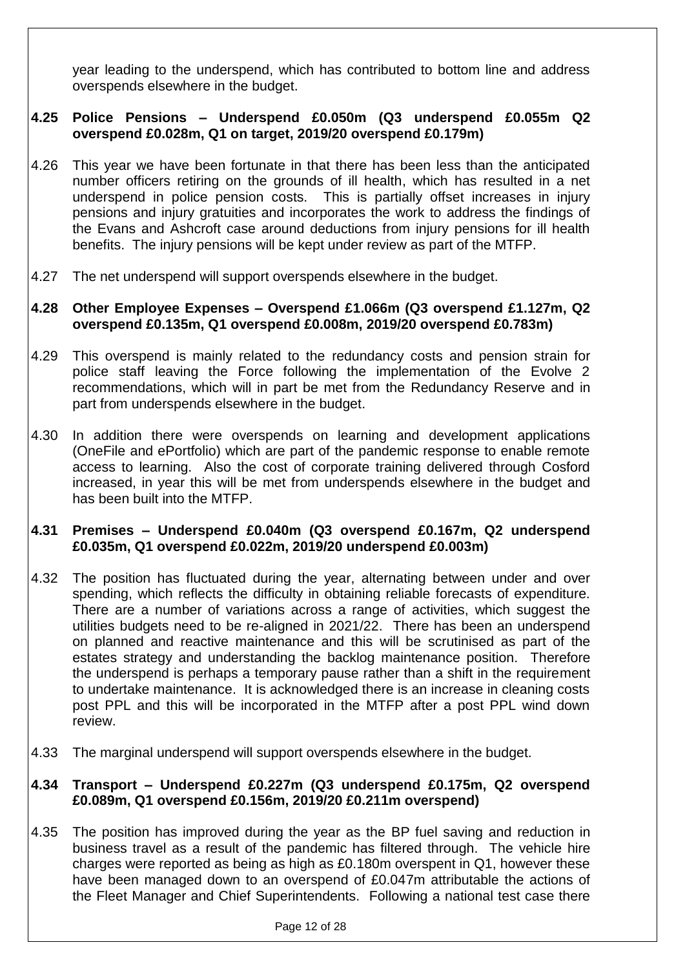year leading to the underspend, which has contributed to bottom line and address overspends elsewhere in the budget.

#### **4.25 Police Pensions – Underspend £0.050m (Q3 underspend £0.055m Q2 overspend £0.028m, Q1 on target, 2019/20 overspend £0.179m)**

- 4.26 This year we have been fortunate in that there has been less than the anticipated number officers retiring on the grounds of ill health, which has resulted in a net underspend in police pension costs. This is partially offset increases in injury pensions and injury gratuities and incorporates the work to address the findings of the Evans and Ashcroft case around deductions from injury pensions for ill health benefits. The injury pensions will be kept under review as part of the MTFP.
- 4.27 The net underspend will support overspends elsewhere in the budget.

#### **4.28 Other Employee Expenses – Overspend £1.066m (Q3 overspend £1.127m, Q2 overspend £0.135m, Q1 overspend £0.008m, 2019/20 overspend £0.783m)**

- 4.29 This overspend is mainly related to the redundancy costs and pension strain for police staff leaving the Force following the implementation of the Evolve 2 recommendations, which will in part be met from the Redundancy Reserve and in part from underspends elsewhere in the budget.
- 4.30 In addition there were overspends on learning and development applications (OneFile and ePortfolio) which are part of the pandemic response to enable remote access to learning. Also the cost of corporate training delivered through Cosford increased, in year this will be met from underspends elsewhere in the budget and has been built into the MTFP.

### **4.31 Premises – Underspend £0.040m (Q3 overspend £0.167m, Q2 underspend £0.035m, Q1 overspend £0.022m, 2019/20 underspend £0.003m)**

- 4.32 The position has fluctuated during the year, alternating between under and over spending, which reflects the difficulty in obtaining reliable forecasts of expenditure. There are a number of variations across a range of activities, which suggest the utilities budgets need to be re-aligned in 2021/22. There has been an underspend on planned and reactive maintenance and this will be scrutinised as part of the estates strategy and understanding the backlog maintenance position. Therefore the underspend is perhaps a temporary pause rather than a shift in the requirement to undertake maintenance. It is acknowledged there is an increase in cleaning costs post PPL and this will be incorporated in the MTFP after a post PPL wind down review.
- 4.33 The marginal underspend will support overspends elsewhere in the budget.

#### **4.34 Transport – Underspend £0.227m (Q3 underspend £0.175m, Q2 overspend £0.089m, Q1 overspend £0.156m, 2019/20 £0.211m overspend)**

4.35 The position has improved during the year as the BP fuel saving and reduction in business travel as a result of the pandemic has filtered through. The vehicle hire charges were reported as being as high as £0.180m overspent in Q1, however these have been managed down to an overspend of £0.047m attributable the actions of the Fleet Manager and Chief Superintendents. Following a national test case there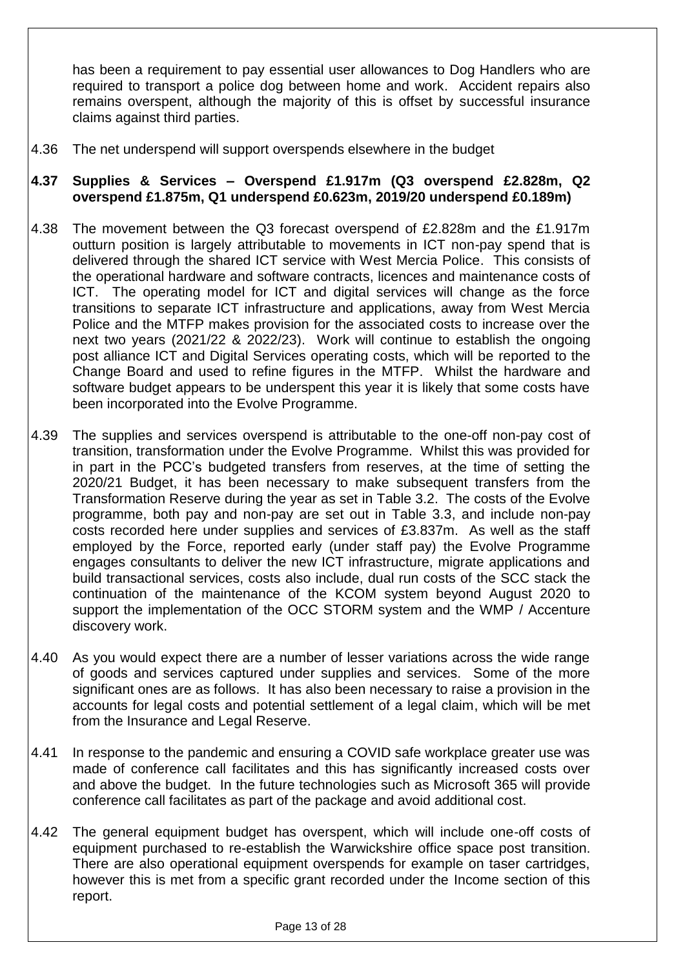has been a requirement to pay essential user allowances to Dog Handlers who are required to transport a police dog between home and work. Accident repairs also remains overspent, although the majority of this is offset by successful insurance claims against third parties.

4.36 The net underspend will support overspends elsewhere in the budget

#### **4.37 Supplies & Services – Overspend £1.917m (Q3 overspend £2.828m, Q2 overspend £1.875m, Q1 underspend £0.623m, 2019/20 underspend £0.189m)**

- 4.38 The movement between the Q3 forecast overspend of £2.828m and the £1.917m outturn position is largely attributable to movements in ICT non-pay spend that is delivered through the shared ICT service with West Mercia Police. This consists of the operational hardware and software contracts, licences and maintenance costs of ICT. The operating model for ICT and digital services will change as the force transitions to separate ICT infrastructure and applications, away from West Mercia Police and the MTFP makes provision for the associated costs to increase over the next two years (2021/22 & 2022/23). Work will continue to establish the ongoing post alliance ICT and Digital Services operating costs, which will be reported to the Change Board and used to refine figures in the MTFP. Whilst the hardware and software budget appears to be underspent this year it is likely that some costs have been incorporated into the Evolve Programme.
- 4.39 The supplies and services overspend is attributable to the one-off non-pay cost of transition, transformation under the Evolve Programme. Whilst this was provided for in part in the PCC's budgeted transfers from reserves, at the time of setting the 2020/21 Budget, it has been necessary to make subsequent transfers from the Transformation Reserve during the year as set in Table 3.2. The costs of the Evolve programme, both pay and non-pay are set out in Table 3.3, and include non-pay costs recorded here under supplies and services of £3.837m. As well as the staff employed by the Force, reported early (under staff pay) the Evolve Programme engages consultants to deliver the new ICT infrastructure, migrate applications and build transactional services, costs also include, dual run costs of the SCC stack the continuation of the maintenance of the KCOM system beyond August 2020 to support the implementation of the OCC STORM system and the WMP / Accenture discovery work.
- 4.40 As you would expect there are a number of lesser variations across the wide range of goods and services captured under supplies and services. Some of the more significant ones are as follows. It has also been necessary to raise a provision in the accounts for legal costs and potential settlement of a legal claim, which will be met from the Insurance and Legal Reserve.
- 4.41 In response to the pandemic and ensuring a COVID safe workplace greater use was made of conference call facilitates and this has significantly increased costs over and above the budget. In the future technologies such as Microsoft 365 will provide conference call facilitates as part of the package and avoid additional cost.
- 4.42 The general equipment budget has overspent, which will include one-off costs of equipment purchased to re-establish the Warwickshire office space post transition. There are also operational equipment overspends for example on taser cartridges, however this is met from a specific grant recorded under the Income section of this report.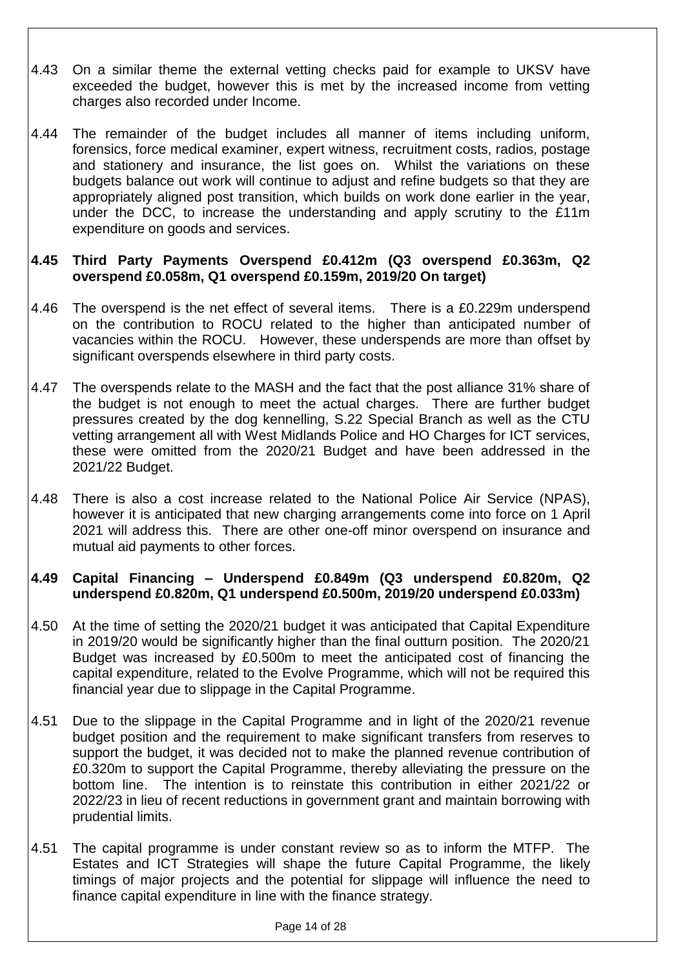- 4.43 On a similar theme the external vetting checks paid for example to UKSV have exceeded the budget, however this is met by the increased income from vetting charges also recorded under Income.
- 4.44 The remainder of the budget includes all manner of items including uniform, forensics, force medical examiner, expert witness, recruitment costs, radios, postage and stationery and insurance, the list goes on. Whilst the variations on these budgets balance out work will continue to adjust and refine budgets so that they are appropriately aligned post transition, which builds on work done earlier in the year, under the DCC, to increase the understanding and apply scrutiny to the £11m expenditure on goods and services.

### **4.45 Third Party Payments Overspend £0.412m (Q3 overspend £0.363m, Q2 overspend £0.058m, Q1 overspend £0.159m, 2019/20 On target)**

- 4.46 The overspend is the net effect of several items. There is a £0.229m underspend on the contribution to ROCU related to the higher than anticipated number of vacancies within the ROCU. However, these underspends are more than offset by significant overspends elsewhere in third party costs.
- 4.47 The overspends relate to the MASH and the fact that the post alliance 31% share of the budget is not enough to meet the actual charges. There are further budget pressures created by the dog kennelling, S.22 Special Branch as well as the CTU vetting arrangement all with West Midlands Police and HO Charges for ICT services, these were omitted from the 2020/21 Budget and have been addressed in the 2021/22 Budget.
- 4.48 There is also a cost increase related to the National Police Air Service (NPAS), however it is anticipated that new charging arrangements come into force on 1 April 2021 will address this. There are other one-off minor overspend on insurance and mutual aid payments to other forces.

### **4.49 Capital Financing – Underspend £0.849m (Q3 underspend £0.820m, Q2 underspend £0.820m, Q1 underspend £0.500m, 2019/20 underspend £0.033m)**

- 4.50 At the time of setting the 2020/21 budget it was anticipated that Capital Expenditure in 2019/20 would be significantly higher than the final outturn position. The 2020/21 Budget was increased by £0.500m to meet the anticipated cost of financing the capital expenditure, related to the Evolve Programme, which will not be required this financial year due to slippage in the Capital Programme.
- 4.51 Due to the slippage in the Capital Programme and in light of the 2020/21 revenue budget position and the requirement to make significant transfers from reserves to support the budget, it was decided not to make the planned revenue contribution of £0.320m to support the Capital Programme, thereby alleviating the pressure on the bottom line. The intention is to reinstate this contribution in either 2021/22 or 2022/23 in lieu of recent reductions in government grant and maintain borrowing with prudential limits.
- 4.51 The capital programme is under constant review so as to inform the MTFP. The Estates and ICT Strategies will shape the future Capital Programme, the likely timings of major projects and the potential for slippage will influence the need to finance capital expenditure in line with the finance strategy.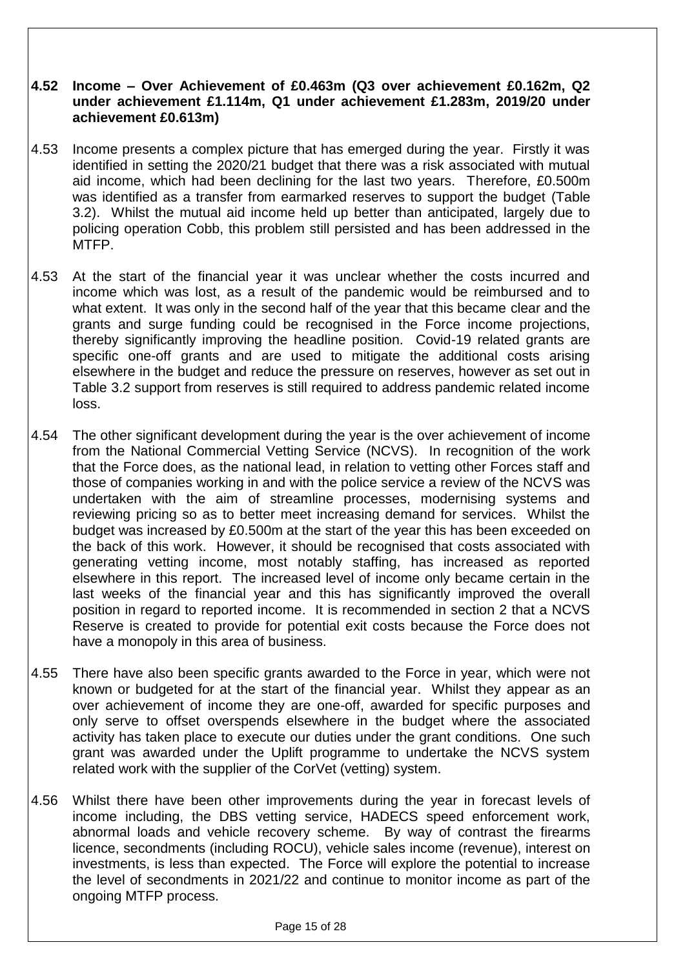#### **4.52 Income – Over Achievement of £0.463m (Q3 over achievement £0.162m, Q2 under achievement £1.114m, Q1 under achievement £1.283m, 2019/20 under achievement £0.613m)**

- 4.53 Income presents a complex picture that has emerged during the year. Firstly it was identified in setting the 2020/21 budget that there was a risk associated with mutual aid income, which had been declining for the last two years. Therefore, £0.500m was identified as a transfer from earmarked reserves to support the budget (Table 3.2). Whilst the mutual aid income held up better than anticipated, largely due to policing operation Cobb, this problem still persisted and has been addressed in the MTFP.
- 4.53 At the start of the financial year it was unclear whether the costs incurred and income which was lost, as a result of the pandemic would be reimbursed and to what extent. It was only in the second half of the year that this became clear and the grants and surge funding could be recognised in the Force income projections, thereby significantly improving the headline position. Covid-19 related grants are specific one-off grants and are used to mitigate the additional costs arising elsewhere in the budget and reduce the pressure on reserves, however as set out in Table 3.2 support from reserves is still required to address pandemic related income loss.
- 4.54 The other significant development during the year is the over achievement of income from the National Commercial Vetting Service (NCVS). In recognition of the work that the Force does, as the national lead, in relation to vetting other Forces staff and those of companies working in and with the police service a review of the NCVS was undertaken with the aim of streamline processes, modernising systems and reviewing pricing so as to better meet increasing demand for services. Whilst the budget was increased by £0.500m at the start of the year this has been exceeded on the back of this work. However, it should be recognised that costs associated with generating vetting income, most notably staffing, has increased as reported elsewhere in this report. The increased level of income only became certain in the last weeks of the financial year and this has significantly improved the overall position in regard to reported income. It is recommended in section 2 that a NCVS Reserve is created to provide for potential exit costs because the Force does not have a monopoly in this area of business.
- 4.55 There have also been specific grants awarded to the Force in year, which were not known or budgeted for at the start of the financial year. Whilst they appear as an over achievement of income they are one-off, awarded for specific purposes and only serve to offset overspends elsewhere in the budget where the associated activity has taken place to execute our duties under the grant conditions. One such grant was awarded under the Uplift programme to undertake the NCVS system related work with the supplier of the CorVet (vetting) system.
- 4.56 Whilst there have been other improvements during the year in forecast levels of income including, the DBS vetting service, HADECS speed enforcement work, abnormal loads and vehicle recovery scheme. By way of contrast the firearms licence, secondments (including ROCU), vehicle sales income (revenue), interest on investments, is less than expected. The Force will explore the potential to increase the level of secondments in 2021/22 and continue to monitor income as part of the ongoing MTFP process.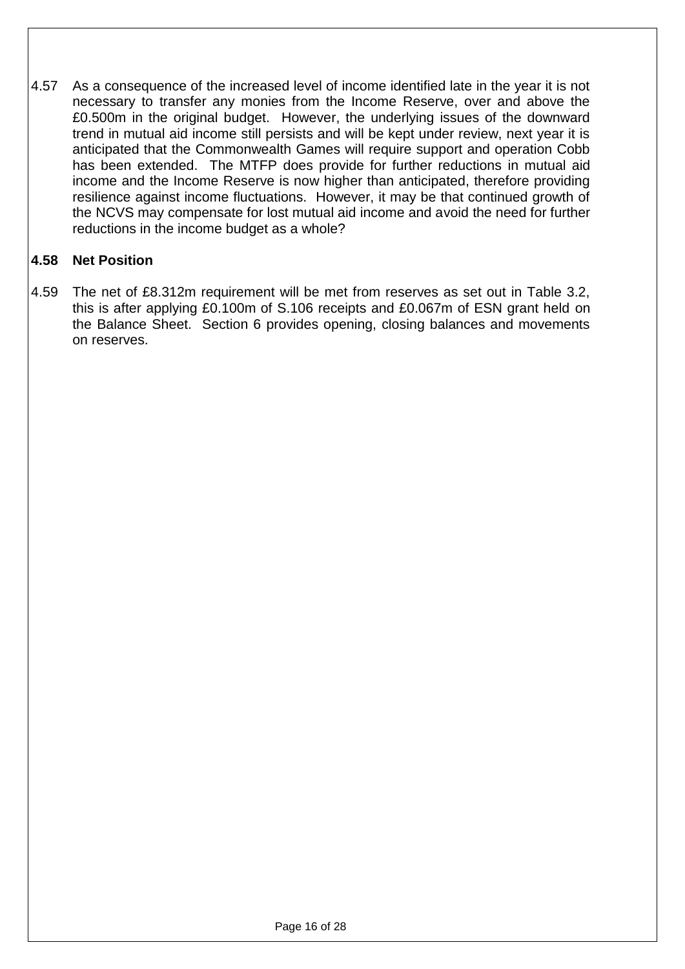4.57 As a consequence of the increased level of income identified late in the year it is not necessary to transfer any monies from the Income Reserve, over and above the £0.500m in the original budget. However, the underlying issues of the downward trend in mutual aid income still persists and will be kept under review, next year it is anticipated that the Commonwealth Games will require support and operation Cobb has been extended. The MTFP does provide for further reductions in mutual aid income and the Income Reserve is now higher than anticipated, therefore providing resilience against income fluctuations. However, it may be that continued growth of the NCVS may compensate for lost mutual aid income and avoid the need for further reductions in the income budget as a whole?

## **4.58 Net Position**

4.59 The net of £8.312m requirement will be met from reserves as set out in Table 3.2, this is after applying £0.100m of S.106 receipts and £0.067m of ESN grant held on the Balance Sheet. Section 6 provides opening, closing balances and movements on reserves.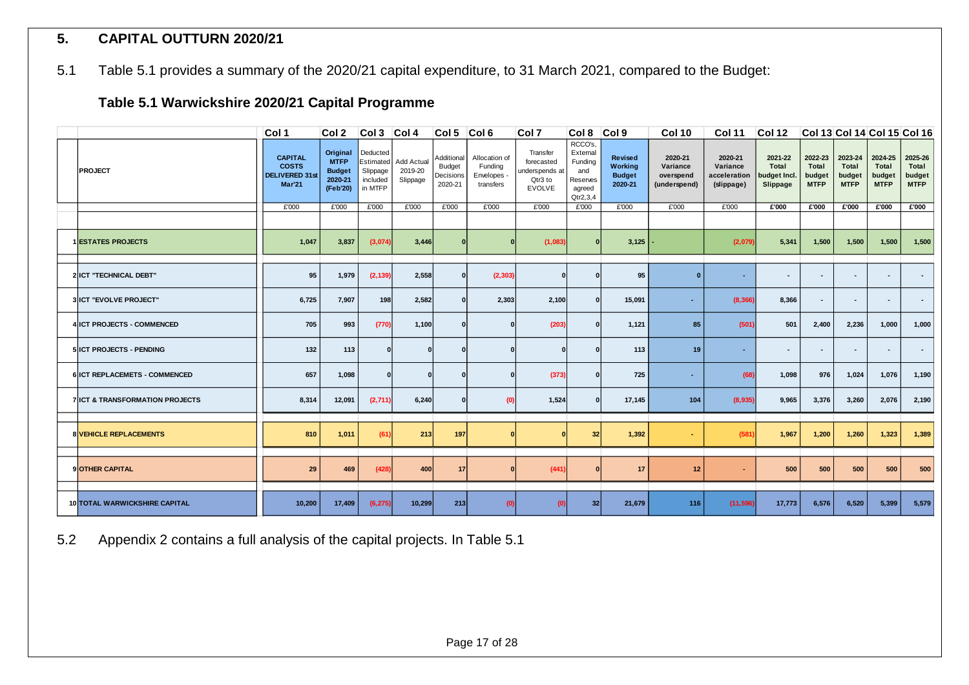# **5. CAPITAL OUTTURN 2020/21**

5.1 Table 5.1 provides a summary of the 2020/21 capital expenditure, to 31 March 2021, compared to the Budget:

# **Table 5.1 Warwickshire 2020/21 Capital Programme**

|                                            | Col 1                                                                    | Col 2                                                           | Col3 Col4                                   |                                             | $Col 5$ $Col 6$                                     |                                                    | Col 7                                                                | Col 8                                                                  | Col 9                                          | Col 10                                           | Col 11                                            | Col 12                                       |                                                  | Col 13 Col 14 Col 15 Col 16               |                                           |                                           |
|--------------------------------------------|--------------------------------------------------------------------------|-----------------------------------------------------------------|---------------------------------------------|---------------------------------------------|-----------------------------------------------------|----------------------------------------------------|----------------------------------------------------------------------|------------------------------------------------------------------------|------------------------------------------------|--------------------------------------------------|---------------------------------------------------|----------------------------------------------|--------------------------------------------------|-------------------------------------------|-------------------------------------------|-------------------------------------------|
| <b>PROJECT</b>                             | <b>CAPITAL</b><br><b>COSTS</b><br><b>DELIVERED 31st</b><br><b>Mar'21</b> | Original<br><b>MTFP</b><br><b>Budget</b><br>2020-21<br>(Feb'20) | Deducted<br>Slippage<br>included<br>in MTFP | Estimated Add Actual<br>2019-20<br>Slippage | Additional<br><b>Budget</b><br>Decisions<br>2020-21 | Allocation of<br>Funding<br>Envelopes<br>transfers | Transfer<br>forecasted<br>underspends at<br>Qtr3 to<br><b>EVOLVE</b> | RCCO's<br>External<br>Funding<br>and<br>Reserves<br>agreed<br>Qtr2,3,4 | Revised<br>Working<br><b>Budget</b><br>2020-21 | 2020-21<br>Variance<br>overspend<br>(underspend) | 2020-21<br>Variance<br>acceleration<br>(slippage) | 2021-22<br>Total<br>budget Incl.<br>Slippage | 2022-23<br><b>Total</b><br>budget<br><b>MTFP</b> | 2023-24<br>Total<br>budget<br><b>MTFP</b> | 2024-25<br>Total<br>budget<br><b>MTFP</b> | 2025-26<br>Total<br>budget<br><b>MTFP</b> |
|                                            | £'000                                                                    | £'000                                                           | E'000                                       | £'000                                       | £'000                                               | £'000                                              | £'000                                                                | £'000                                                                  | £'000                                          | £'000                                            | £'000                                             | E'000                                        | E'000                                            | £'000                                     | £'000                                     | E'000                                     |
| <b>1 ESTATES PROJECTS</b>                  | 1,047                                                                    | 3,837                                                           | (3,074)                                     | 3,446                                       |                                                     |                                                    | (1,083)                                                              |                                                                        | 3,125                                          |                                                  | (2,079)                                           | 5,341                                        | 1,500                                            | 1,500                                     | 1,500                                     | 1,500                                     |
| 2 ICT "TECHNICAL DEBT"                     | 95                                                                       | 1,979                                                           | (2, 139)                                    | 2,558                                       |                                                     | (2, 303)                                           | $\Omega$                                                             | $\Omega$                                                               | 95                                             | $\mathbf{0}$                                     | ×                                                 | $\overline{\phantom{a}}$                     | $\blacksquare$                                   | $\overline{\phantom{a}}$                  | $\overline{\phantom{a}}$                  | $\overline{a}$                            |
| 3 ICT "EVOLVE PROJECT"                     | 6,725                                                                    | 7,907                                                           | 198                                         | 2,582                                       |                                                     | 2,303                                              | 2,100                                                                | $\Omega$                                                               | 15,091                                         | $\sim$                                           | (8, 366)                                          | 8,366                                        | $\sim$                                           | $\sim$                                    | $\sim$                                    | $\sim$                                    |
| <b>4 ICT PROJECTS - COMMENCED</b>          | 705                                                                      | 993                                                             | (770)                                       | 1,100                                       |                                                     |                                                    | (203)                                                                |                                                                        | 1,121                                          | 85                                               | (501)                                             | 501                                          | 2,400                                            | 2,236                                     | 1,000                                     | 1,000                                     |
| <b>5 ICT PROJECTS - PENDING</b>            | 132                                                                      | 113                                                             | $\Omega$                                    |                                             |                                                     |                                                    |                                                                      |                                                                        | 113                                            | 19                                               | ×.                                                | ۰.                                           | $\blacksquare$                                   | $\sim$                                    | $\overline{\phantom{a}}$                  | $\overline{\phantom{a}}$                  |
| <b>6ICT REPLACEMETS - COMMENCED</b>        | 657                                                                      | 1,098                                                           | $\mathbf{0}$                                |                                             |                                                     |                                                    | (373)                                                                | $\Omega$                                                               | 725                                            | $\sim$                                           | (68)                                              | 1,098                                        | 976                                              | 1,024                                     | 1,076                                     | 1,190                                     |
| <b>7 ICT &amp; TRANSFORMATION PROJECTS</b> | 8,314                                                                    | 12,091                                                          | (2,711)                                     | 6,240                                       |                                                     | (0)                                                | 1,524                                                                |                                                                        | 17,145                                         | 104                                              | (8,935)                                           | 9,965                                        | 3,376                                            | 3,260                                     | 2,076                                     | 2,190                                     |
| <b>8 VEHICLE REPLACEMENTS</b>              | 810                                                                      | 1,011                                                           | (61)                                        | 213                                         | 197                                                 |                                                    |                                                                      | 32                                                                     | 1,392                                          |                                                  | (581)                                             | 1,967                                        | 1,200                                            | 1,260                                     | 1,323                                     | 1,389                                     |
| 9 OTHER CAPITAL                            | 29                                                                       | 469                                                             | (428)                                       | 400                                         | 17                                                  |                                                    | (441)                                                                |                                                                        | 17                                             | 12                                               | $\sim$                                            | 500                                          | 500                                              | 500                                       | 500                                       | 500                                       |
| 10 TOTAL WARWICKSHIRE CAPITAL              | 10,200                                                                   | 17,409                                                          | (6, 275)                                    | 10,299                                      | 213                                                 | (0)                                                | (0)                                                                  | 32                                                                     | 21,679                                         | 116                                              | (11, 596)                                         | 17,773                                       | 6,576                                            | 6,520                                     | 5,399                                     | 5,579                                     |

5.2 Appendix 2 contains a full analysis of the capital projects. In Table 5.1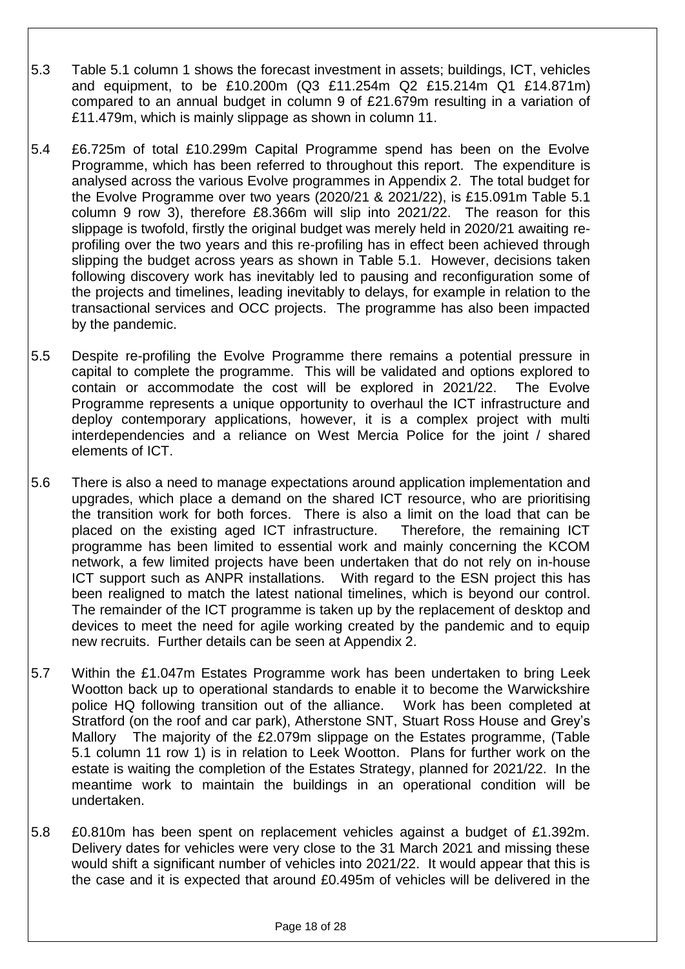- 5.3 Table 5.1 column 1 shows the forecast investment in assets; buildings, ICT, vehicles and equipment, to be £10.200m (Q3 £11.254m Q2 £15.214m Q1 £14.871m) compared to an annual budget in column 9 of £21.679m resulting in a variation of £11.479m, which is mainly slippage as shown in column 11.
- 5.4 £6.725m of total £10.299m Capital Programme spend has been on the Evolve Programme, which has been referred to throughout this report. The expenditure is analysed across the various Evolve programmes in Appendix 2. The total budget for the Evolve Programme over two years (2020/21 & 2021/22), is £15.091m Table 5.1 column 9 row 3), therefore £8.366m will slip into 2021/22. The reason for this slippage is twofold, firstly the original budget was merely held in 2020/21 awaiting reprofiling over the two years and this re-profiling has in effect been achieved through slipping the budget across years as shown in Table 5.1. However, decisions taken following discovery work has inevitably led to pausing and reconfiguration some of the projects and timelines, leading inevitably to delays, for example in relation to the transactional services and OCC projects. The programme has also been impacted by the pandemic.
- 5.5 Despite re-profiling the Evolve Programme there remains a potential pressure in capital to complete the programme. This will be validated and options explored to contain or accommodate the cost will be explored in 2021/22. The Evolve Programme represents a unique opportunity to overhaul the ICT infrastructure and deploy contemporary applications, however, it is a complex project with multi interdependencies and a reliance on West Mercia Police for the joint / shared elements of ICT.
- 5.6 There is also a need to manage expectations around application implementation and upgrades, which place a demand on the shared ICT resource, who are prioritising the transition work for both forces. There is also a limit on the load that can be placed on the existing aged ICT infrastructure. Therefore, the remaining ICT programme has been limited to essential work and mainly concerning the KCOM network, a few limited projects have been undertaken that do not rely on in-house ICT support such as ANPR installations. With regard to the ESN project this has been realigned to match the latest national timelines, which is beyond our control. The remainder of the ICT programme is taken up by the replacement of desktop and devices to meet the need for agile working created by the pandemic and to equip new recruits. Further details can be seen at Appendix 2.
- 5.7 Within the £1.047m Estates Programme work has been undertaken to bring Leek Wootton back up to operational standards to enable it to become the Warwickshire police HQ following transition out of the alliance. Work has been completed at Stratford (on the roof and car park), Atherstone SNT, Stuart Ross House and Grey's Mallory The majority of the £2.079m slippage on the Estates programme, (Table 5.1 column 11 row 1) is in relation to Leek Wootton. Plans for further work on the estate is waiting the completion of the Estates Strategy, planned for 2021/22. In the meantime work to maintain the buildings in an operational condition will be undertaken.
- 5.8 £0.810m has been spent on replacement vehicles against a budget of £1.392m. Delivery dates for vehicles were very close to the 31 March 2021 and missing these would shift a significant number of vehicles into 2021/22. It would appear that this is the case and it is expected that around £0.495m of vehicles will be delivered in the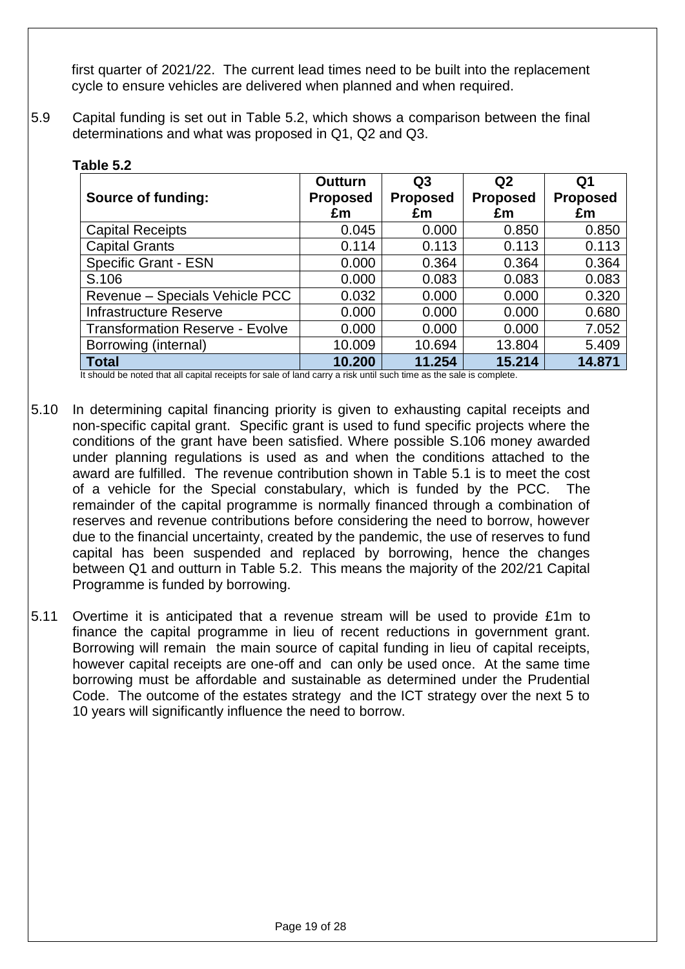first quarter of 2021/22. The current lead times need to be built into the replacement cycle to ensure vehicles are delivered when planned and when required.

5.9 Capital funding is set out in Table 5.2, which shows a comparison between the final determinations and what was proposed in Q1, Q2 and Q3.

|                                        | <b>Outturn</b>  | Q3              | Q <sub>2</sub>  | Q <sub>1</sub>  |
|----------------------------------------|-----------------|-----------------|-----------------|-----------------|
| <b>Source of funding:</b>              | <b>Proposed</b> | <b>Proposed</b> | <b>Proposed</b> | <b>Proposed</b> |
|                                        | £m              | £m              | £m              | £m              |
| <b>Capital Receipts</b>                | 0.045           | 0.000           | 0.850           | 0.850           |
| <b>Capital Grants</b>                  | 0.114           | 0.113           | 0.113           | 0.113           |
| <b>Specific Grant - ESN</b>            | 0.000           | 0.364           | 0.364           | 0.364           |
| S.106                                  | 0.000           | 0.083           | 0.083           | 0.083           |
| Revenue - Specials Vehicle PCC         | 0.032           | 0.000           | 0.000           | 0.320           |
| <b>Infrastructure Reserve</b>          | 0.000           | 0.000           | 0.000           | 0.680           |
| <b>Transformation Reserve - Evolve</b> | 0.000           | 0.000           | 0.000           | 7.052           |
| Borrowing (internal)                   | 10.009          | 10.694          | 13.804          | 5.409           |
| <b>Total</b>                           | 10.200          | 11.254          | 15.214          | 14.871          |

#### **Table 5.2**

It should be noted that all capital receipts for sale of land carry a risk until such time as the sale is complete.

- 5.10 In determining capital financing priority is given to exhausting capital receipts and non-specific capital grant. Specific grant is used to fund specific projects where the conditions of the grant have been satisfied. Where possible S.106 money awarded under planning regulations is used as and when the conditions attached to the award are fulfilled. The revenue contribution shown in Table 5.1 is to meet the cost of a vehicle for the Special constabulary, which is funded by the PCC. The remainder of the capital programme is normally financed through a combination of reserves and revenue contributions before considering the need to borrow, however due to the financial uncertainty, created by the pandemic, the use of reserves to fund capital has been suspended and replaced by borrowing, hence the changes between Q1 and outturn in Table 5.2. This means the majority of the 202/21 Capital Programme is funded by borrowing.
- 5.11 Overtime it is anticipated that a revenue stream will be used to provide £1m to finance the capital programme in lieu of recent reductions in government grant. Borrowing will remain the main source of capital funding in lieu of capital receipts, however capital receipts are one-off and can only be used once. At the same time borrowing must be affordable and sustainable as determined under the Prudential Code. The outcome of the estates strategy and the ICT strategy over the next 5 to 10 years will significantly influence the need to borrow.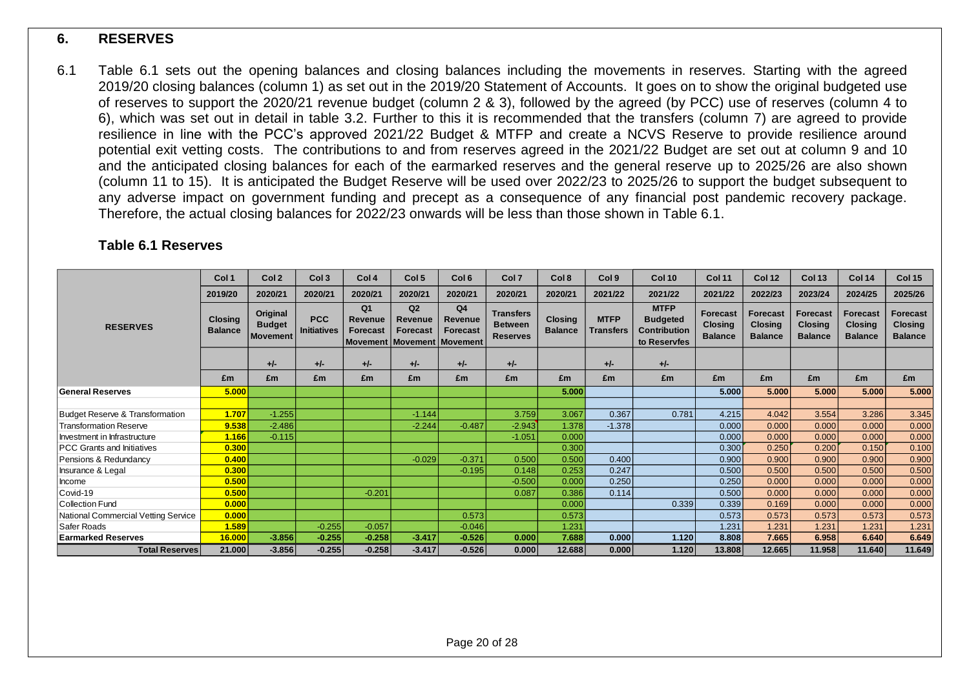## **6. RESERVES**

6.1 Table 6.1 sets out the opening balances and closing balances including the movements in reserves. Starting with the agreed 2019/20 closing balances (column 1) as set out in the 2019/20 Statement of Accounts. It goes on to show the original budgeted use of reserves to support the 2020/21 revenue budget (column 2 & 3), followed by the agreed (by PCC) use of reserves (column 4 to 6), which was set out in detail in table 3.2. Further to this it is recommended that the transfers (column 7) are agreed to provide resilience in line with the PCC's approved 2021/22 Budget & MTFP and create a NCVS Reserve to provide resilience around potential exit vetting costs. The contributions to and from reserves agreed in the 2021/22 Budget are set out at column 9 and 10 and the anticipated closing balances for each of the earmarked reserves and the general reserve up to 2025/26 are also shown (column 11 to 15). It is anticipated the Budget Reserve will be used over 2022/23 to 2025/26 to support the budget subsequent to any adverse impact on government funding and precept as a consequence of any financial post pandemic recovery package. Therefore, the actual closing balances for 2022/23 onwards will be less than those shown in Table 6.1.

|                                     | Col <sub>1</sub>          | Col <sub>2</sub>                             | Col <sub>3</sub>                 | Col 4                                        | Col <sub>5</sub>                                                                 | Col <sub>6</sub>                                    | Col <sub>7</sub>                                      | Col <sub>8</sub>                 | Col 9                    | Col <sub>10</sub>                                                     | <b>Col 11</b>                                       | Col 12                                              | Col <sub>13</sub>                                   | Col 14                                       | Col 15                                              |
|-------------------------------------|---------------------------|----------------------------------------------|----------------------------------|----------------------------------------------|----------------------------------------------------------------------------------|-----------------------------------------------------|-------------------------------------------------------|----------------------------------|--------------------------|-----------------------------------------------------------------------|-----------------------------------------------------|-----------------------------------------------------|-----------------------------------------------------|----------------------------------------------|-----------------------------------------------------|
|                                     | 2019/20                   | 2020/21                                      | 2020/21                          | 2020/21                                      | 2020/21                                                                          | 2020/21                                             | 2020/21                                               | 2020/21                          | 2021/22                  | 2021/22                                                               | 2021/22                                             | 2022/23                                             | 2023/24                                             | 2024/25                                      | 2025/26                                             |
| <b>RESERVES</b>                     | Closing<br><b>Balance</b> | Original<br><b>Budget</b><br><b>Movement</b> | <b>PCC</b><br><b>Initiatives</b> | Q <sub>1</sub><br>Revenue<br><b>Forecast</b> | Q2<br><b>Revenue</b><br><b>Forecast</b><br><b>Movement   Movement   Movement</b> | Q <sub>4</sub><br><b>Revenue</b><br><b>Forecast</b> | <b>Transfers</b><br><b>Between</b><br><b>Reserves</b> | <b>Closing</b><br><b>Balance</b> | <b>MTFP</b><br>Transfers | <b>MTFP</b><br><b>Budgeted</b><br><b>Contribution</b><br>to Reservfes | <b>Forecast</b><br><b>Closing</b><br><b>Balance</b> | <b>Forecast</b><br><b>Closing</b><br><b>Balance</b> | <b>Forecast</b><br><b>Closing</b><br><b>Balance</b> | <b>Forecast</b><br>Closing<br><b>Balance</b> | <b>Forecast</b><br><b>Closing</b><br><b>Balance</b> |
|                                     |                           | +/-                                          | $+/-$                            | $+/-$                                        | $+/-$                                                                            | $+/-$                                               | $+/-$                                                 |                                  | $+/-$                    | $+/-$                                                                 |                                                     |                                                     |                                                     |                                              |                                                     |
|                                     | £m                        | £m                                           | £m                               | £m                                           | £m                                                                               | £m                                                  | £m                                                    | £m                               | £m                       | £m                                                                    | £m                                                  | £m                                                  | £m                                                  | £m                                           | £m                                                  |
| General Reserves                    | 5.000                     |                                              |                                  |                                              |                                                                                  |                                                     |                                                       | 5.000                            |                          |                                                                       | 5.000                                               | 5.000                                               | 5.000                                               | 5.000                                        | 5.000                                               |
|                                     |                           |                                              |                                  |                                              |                                                                                  |                                                     |                                                       |                                  |                          |                                                                       |                                                     |                                                     |                                                     |                                              |                                                     |
| Budget Reserve & Transformation     | 1.707                     | $-1.255$                                     |                                  |                                              | $-1.144$                                                                         |                                                     | 3.759                                                 | 3.067                            | 0.367                    | 0.781                                                                 | 4.215                                               | 4.042                                               | 3.554                                               | 3.286                                        | 3.345                                               |
| <b>Transformation Reserve</b>       | 9.538                     | $-2.486$                                     |                                  |                                              | $-2.244$                                                                         | $-0.487$                                            | $-2.943$                                              | 1.378                            | $-1.378$                 |                                                                       | 0.000                                               | 0.000                                               | 0.000                                               | 0.000                                        | 0.000                                               |
| Investment in Infrastructure        | 1.166                     | $-0.115$                                     |                                  |                                              |                                                                                  |                                                     | $-1.051$                                              | 0.000                            |                          |                                                                       | 0.000                                               | 0.000                                               | 0.000                                               | 0.000                                        | 0.000                                               |
| <b>PCC Grants and Initiatives</b>   | 0.300                     |                                              |                                  |                                              |                                                                                  |                                                     |                                                       | 0.300                            |                          |                                                                       | 0.300                                               | 0.250                                               | 0.200                                               | 0.150                                        | 0.100                                               |
| Pensions & Redundancy               | 0.400                     |                                              |                                  |                                              | $-0.029$                                                                         | $-0.371$                                            | 0.500                                                 | 0.500                            | 0.400                    |                                                                       | 0.900                                               | 0.900                                               | 0.900                                               | 0.900                                        | 0.900                                               |
| Insurance & Legal                   | 0.300                     |                                              |                                  |                                              |                                                                                  | $-0.195$                                            | 0.148                                                 | 0.253                            | 0.247                    |                                                                       | 0.500                                               | 0.500                                               | 0.500                                               | 0.500                                        | 0.500                                               |
| Income                              | 0.500                     |                                              |                                  |                                              |                                                                                  |                                                     | $-0.500$                                              | 0.000                            | 0.250                    |                                                                       | 0.250                                               | 0.000                                               | 0.000                                               | 0.000                                        | 0.000                                               |
| Covid-19                            | 0.500                     |                                              |                                  | $-0.201$                                     |                                                                                  |                                                     | 0.087                                                 | 0.386                            | 0.114                    |                                                                       | 0.500                                               | 0.000                                               | 0.000                                               | 0.000                                        | 0.000                                               |
| <b>Collection Fund</b>              | 0.000                     |                                              |                                  |                                              |                                                                                  |                                                     |                                                       | 0.000                            |                          | 0.339                                                                 | 0.339                                               | 0.169                                               | 0.000                                               | 0.000                                        | 0.000                                               |
| National Commercial Vetting Service | 0.000                     |                                              |                                  |                                              |                                                                                  | 0.573                                               |                                                       | 0.573                            |                          |                                                                       | 0.573                                               | 0.573                                               | 0.573                                               | 0.573                                        | 0.573                                               |
| Safer Roads                         | 1.589                     |                                              | $-0.255$                         | $-0.057$                                     |                                                                                  | $-0.046$                                            |                                                       | 1.231                            |                          |                                                                       | 1.231                                               | 1.231                                               | 1.231                                               | 1.231                                        | 1.231                                               |
| <b>Earmarked Reserves</b>           | 16.000                    | $-3.856$                                     | $-0.255$                         | $-0.258$                                     | $-3.417$                                                                         | $-0.526$                                            | 0.000                                                 | 7.688                            | 0.000                    | 1.120                                                                 | 8.808                                               | 7.665                                               | 6.958                                               | 6.640                                        | 6.649                                               |
| <b>Total Reserves</b>               | 21.000                    | $-3.856$                                     | $-0.255$                         | $-0.258$                                     | $-3.417$                                                                         | $-0.526$                                            | 0.000                                                 | 12.688                           | 0.000                    | 1.120                                                                 | 13.808                                              | 12.665                                              | 11.958                                              | 11.640                                       | 11.649                                              |

## **Table 6.1 Reserves**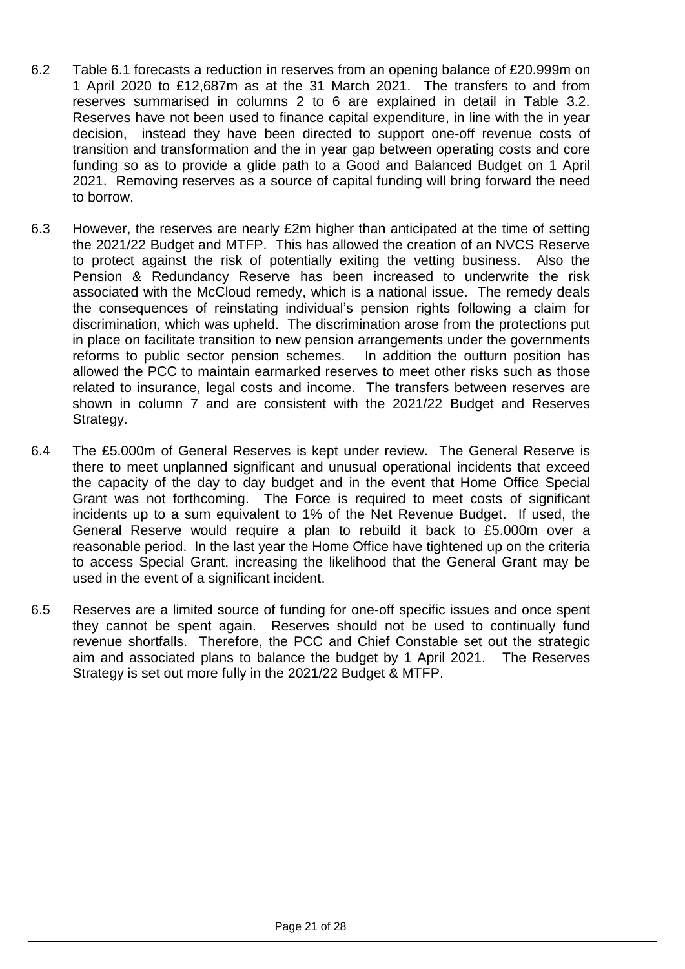- 6.2 Table 6.1 forecasts a reduction in reserves from an opening balance of £20.999m on 1 April 2020 to £12,687m as at the 31 March 2021. The transfers to and from reserves summarised in columns 2 to 6 are explained in detail in Table 3.2. Reserves have not been used to finance capital expenditure, in line with the in year decision, instead they have been directed to support one-off revenue costs of transition and transformation and the in year gap between operating costs and core funding so as to provide a glide path to a Good and Balanced Budget on 1 April 2021. Removing reserves as a source of capital funding will bring forward the need to borrow.
- 6.3 However, the reserves are nearly £2m higher than anticipated at the time of setting the 2021/22 Budget and MTFP. This has allowed the creation of an NVCS Reserve to protect against the risk of potentially exiting the vetting business. Also the Pension & Redundancy Reserve has been increased to underwrite the risk associated with the McCloud remedy, which is a national issue. The remedy deals the consequences of reinstating individual's pension rights following a claim for discrimination, which was upheld. The discrimination arose from the protections put in place on facilitate transition to new pension arrangements under the governments reforms to public sector pension schemes. In addition the outturn position has allowed the PCC to maintain earmarked reserves to meet other risks such as those related to insurance, legal costs and income. The transfers between reserves are shown in column 7 and are consistent with the 2021/22 Budget and Reserves Strategy.
- 6.4 The £5.000m of General Reserves is kept under review. The General Reserve is there to meet unplanned significant and unusual operational incidents that exceed the capacity of the day to day budget and in the event that Home Office Special Grant was not forthcoming. The Force is required to meet costs of significant incidents up to a sum equivalent to 1% of the Net Revenue Budget. If used, the General Reserve would require a plan to rebuild it back to £5.000m over a reasonable period. In the last year the Home Office have tightened up on the criteria to access Special Grant, increasing the likelihood that the General Grant may be used in the event of a significant incident.
- 6.5 Reserves are a limited source of funding for one-off specific issues and once spent they cannot be spent again. Reserves should not be used to continually fund revenue shortfalls. Therefore, the PCC and Chief Constable set out the strategic aim and associated plans to balance the budget by 1 April 2021. The Reserves Strategy is set out more fully in the 2021/22 Budget & MTFP.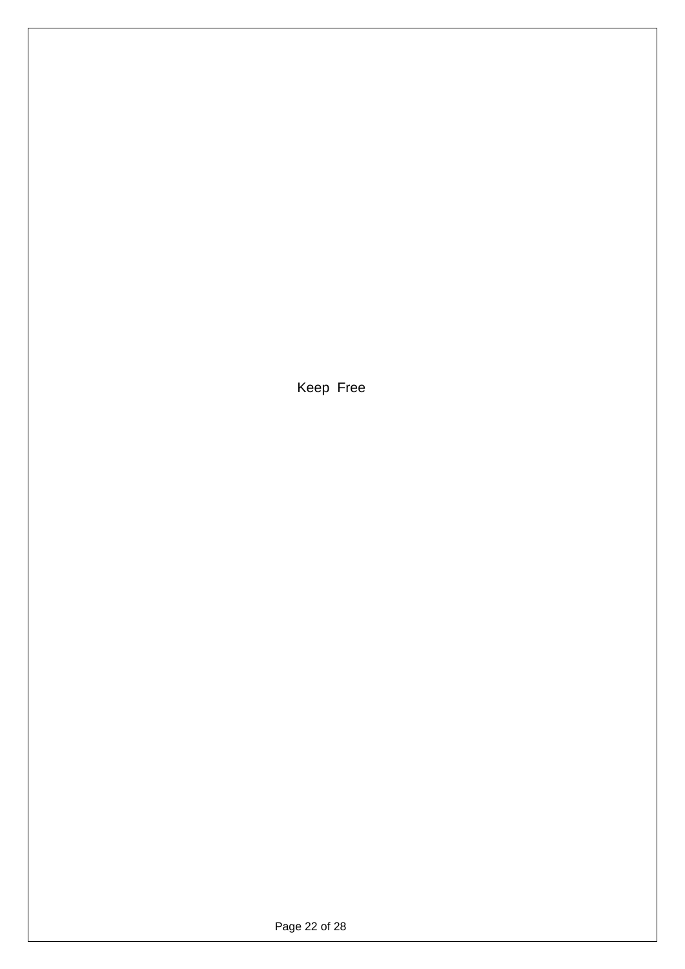Keep Free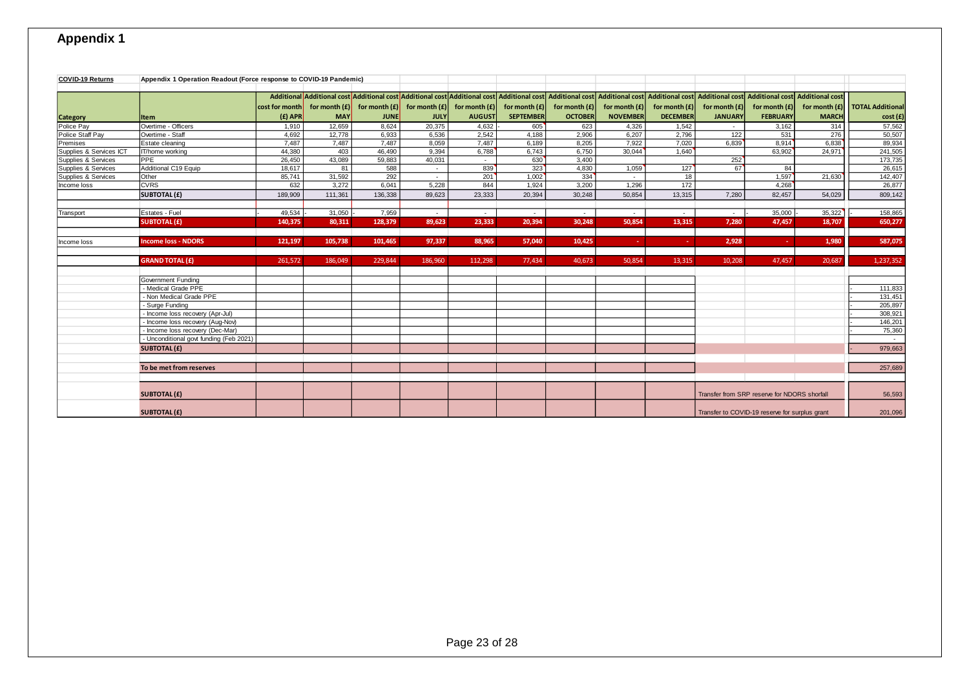# **Appendix 1**

| COVID-19 Returns        | Appendix 1 Operation Readout (Force response to COVID-19 Pandemic) |                |            |                                                 |         |                 |                  |                                                                                                                                                                                                                            |                 |                 |                 |                                                |               |                         |
|-------------------------|--------------------------------------------------------------------|----------------|------------|-------------------------------------------------|---------|-----------------|------------------|----------------------------------------------------------------------------------------------------------------------------------------------------------------------------------------------------------------------------|-----------------|-----------------|-----------------|------------------------------------------------|---------------|-------------------------|
|                         |                                                                    |                |            |                                                 |         |                 |                  | Additional Additional cost Additional cost Additional cost Additional cost Additional cost Additional cost Additional cost Additional cost Additional cost Additional cost Additional cost Additional cost Additional cost |                 |                 |                 |                                                |               |                         |
|                         |                                                                    |                |            |                                                 |         |                 |                  |                                                                                                                                                                                                                            |                 |                 |                 |                                                |               |                         |
|                         |                                                                    | cost for month |            | for month $(E)$ for month $(E)$ for month $(E)$ |         | for month $(f)$ | for month $(E)$  | for month (£)                                                                                                                                                                                                              | for month $(E)$ | for month $(E)$ | for month $(f)$ | for month $(f)$                                | for month (£) | <b>TOTAL Additional</b> |
| <b>Category</b>         | Item                                                               | $(f)$ APR      | <b>MAY</b> | <b>JUNE</b>                                     | JULY    | <b>AUGUST</b>   | <b>SEPTEMBER</b> | <b>OCTOBER</b>                                                                                                                                                                                                             | <b>NOVEMBER</b> | <b>DECEMBER</b> | <b>JANUARY</b>  | <b>FEBRUARY</b>                                | <b>MARCH</b>  | cost(f)                 |
| Police Pay              | Overtime - Officers                                                | 1,910          | 12,659     | 8,624                                           | 20,375  | 4,632           | 605              | 623                                                                                                                                                                                                                        | 4,326           | 1,542           |                 | 3,162                                          | 314           | 57,562                  |
| Police Staff Pay        | Overtime - Staff                                                   | 4.692          | 12.778     | 6.933                                           | 6,536   | 2.542           | 4.188            | 2,906                                                                                                                                                                                                                      | 6.207           | 2.796           | 122             | 531                                            | 276           | 50,507                  |
| Premises                | Estate cleaning                                                    | 7.487          | 7.487      | 7.487                                           | 8.059   | 7.487           | 6.189            | 8,205                                                                                                                                                                                                                      | 7.922           | 7.020           | 6.839           | 8.914                                          | 6,838         | 89,934                  |
| Supplies & Services ICT | IT/home working                                                    | 44,380         | 403        | 46,490                                          | 9,394   | 6,788           | 6,743            | 6,750                                                                                                                                                                                                                      | 30.044          | 1.640           |                 | 63,902                                         | 24,971        | 241,505                 |
| Supplies & Services     | PPE                                                                | 26,450         | 43,089     | 59,883                                          | 40,031  |                 | 630              | 3,400                                                                                                                                                                                                                      |                 |                 | 252             |                                                |               | 173,735                 |
| Supplies & Services     | Additional C19 Equip                                               | 18,617         | 81         | 588                                             | $\sim$  | 839             | 323              | 4,830                                                                                                                                                                                                                      | 1.059           | 127             | 67              | 84                                             |               | 26,615                  |
| Supplies & Services     | Other                                                              | 85,741         | 31,592     | 292                                             | $\sim$  | 201             | 1.002            | 334                                                                                                                                                                                                                        |                 | 18              |                 | 1,597                                          | 21,630        | 142,407                 |
| Income loss             | <b>CVRS</b>                                                        | 632            | 3,272      | 6,041                                           | 5,228   | 844             | 1,924            | 3,200                                                                                                                                                                                                                      | 1,296           | 172             |                 | 4,268                                          |               | 26,877                  |
|                         | <b>SUBTOTAL (£)</b>                                                | 189,909        | 111,361    | 136,338                                         | 89,623  | 23,333          | 20,394           | 30,248                                                                                                                                                                                                                     | 50,854          | 13,315          | 7,280           | 82,457                                         | 54,029        | 809,142                 |
|                         |                                                                    |                |            |                                                 |         |                 |                  |                                                                                                                                                                                                                            |                 |                 |                 |                                                |               |                         |
| Transport               | Estates - Fuel                                                     | 49,534         | 31,050     | 7,959                                           | $\sim$  | $\sim$          | $\sim$           | $\sim$                                                                                                                                                                                                                     | $\sim$          | $\sim$          | $\sim$          | 35,000                                         | 35,322        | 158,865                 |
|                         | <b>SUBTOTAL (£)</b>                                                | 140,375        | 80,311     | 128,379                                         | 89,623  | 23,333          | 20,394           | 30,248                                                                                                                                                                                                                     | 50,854          | 13,315          | 7,280           | 47,457                                         | 18,707        | 650,277                 |
|                         |                                                                    |                |            |                                                 |         |                 |                  |                                                                                                                                                                                                                            |                 |                 |                 |                                                |               |                         |
| Income loss             | <b>Income loss - NDORS</b>                                         | 121.197        | 105,738    | 101,465                                         | 97,337  | 88,965          | 57,040           | 10,425                                                                                                                                                                                                                     |                 |                 | 2,928           | on.                                            | 1,980         | 587,075                 |
|                         |                                                                    |                |            |                                                 |         |                 |                  |                                                                                                                                                                                                                            |                 |                 |                 |                                                |               |                         |
|                         | <b>GRAND TOTAL (£)</b>                                             | 261,572        | 186,049    | 229,844                                         | 186,960 | 112,298         | 77,434           | 40,673                                                                                                                                                                                                                     | 50,854          | 13,315          | 10,208          | 47,457                                         | 20,687        | 1,237,352               |
|                         |                                                                    |                |            |                                                 |         |                 |                  |                                                                                                                                                                                                                            |                 |                 |                 |                                                |               |                         |
|                         | Government Funding                                                 |                |            |                                                 |         |                 |                  |                                                                                                                                                                                                                            |                 |                 |                 |                                                |               |                         |
|                         | Medical Grade PPE                                                  |                |            |                                                 |         |                 |                  |                                                                                                                                                                                                                            |                 |                 |                 |                                                |               | 111,833                 |
|                         | Non Medical Grade PPE                                              |                |            |                                                 |         |                 |                  |                                                                                                                                                                                                                            |                 |                 |                 |                                                |               | 131,451                 |
|                         | Surge Funding                                                      |                |            |                                                 |         |                 |                  |                                                                                                                                                                                                                            |                 |                 |                 |                                                |               | 205,897                 |
|                         | Income loss recovery (Apr-Jul)                                     |                |            |                                                 |         |                 |                  |                                                                                                                                                                                                                            |                 |                 |                 |                                                |               | 308.921                 |
|                         | Income loss recovery (Aug-Nov)                                     |                |            |                                                 |         |                 |                  |                                                                                                                                                                                                                            |                 |                 |                 |                                                |               | 146,201                 |
|                         | Income loss recovery (Dec-Mar)                                     |                |            |                                                 |         |                 |                  |                                                                                                                                                                                                                            |                 |                 |                 |                                                |               | 75,360                  |
|                         | - Unconditional govt funding (Feb 2021)                            |                |            |                                                 |         |                 |                  |                                                                                                                                                                                                                            |                 |                 |                 |                                                |               |                         |
|                         | <b>SUBTOTAL (£)</b>                                                |                |            |                                                 |         |                 |                  |                                                                                                                                                                                                                            |                 |                 |                 |                                                |               | 979,663                 |
|                         |                                                                    |                |            |                                                 |         |                 |                  |                                                                                                                                                                                                                            |                 |                 |                 |                                                |               |                         |
|                         | To be met from reserves                                            |                |            |                                                 |         |                 |                  |                                                                                                                                                                                                                            |                 |                 |                 |                                                |               | 257,689                 |
|                         |                                                                    |                |            |                                                 |         |                 |                  |                                                                                                                                                                                                                            |                 |                 |                 |                                                |               |                         |
|                         | <b>SUBTOTAL (£)</b>                                                |                |            |                                                 |         |                 |                  |                                                                                                                                                                                                                            |                 |                 |                 | Transfer from SRP reserve for NDORS shorfall   | 56,593        |                         |
|                         | <b>SUBTOTAL (£)</b>                                                |                |            |                                                 |         |                 |                  |                                                                                                                                                                                                                            |                 |                 |                 | Transfer to COVID-19 reserve for surplus grant |               | 201,096                 |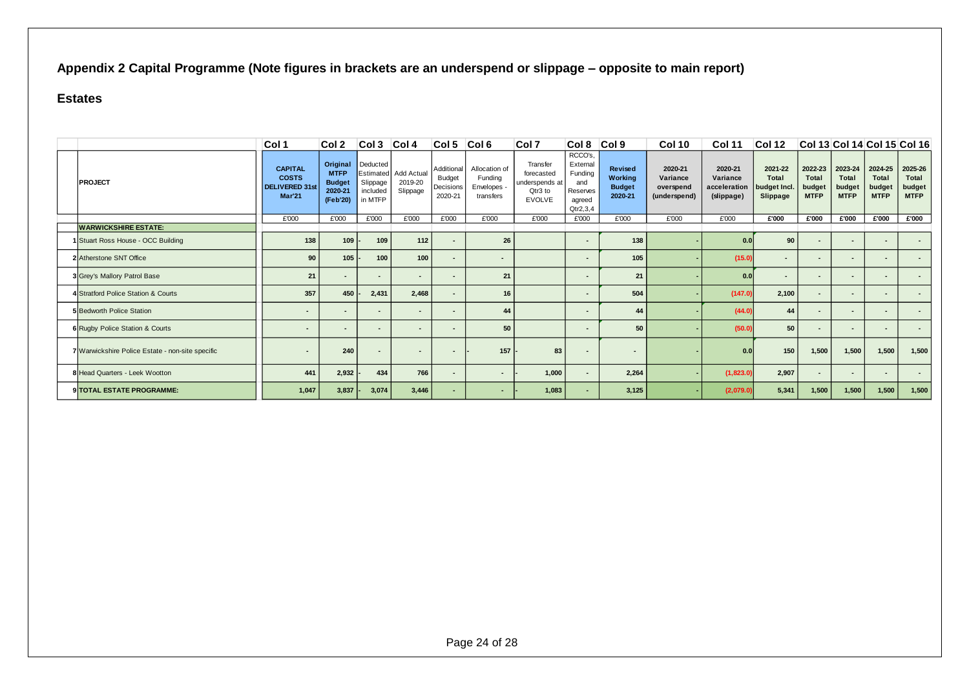## **Appendix 2 Capital Programme (Note figures in brackets are an underspend or slippage – opposite to main report)**

#### **Estates**

|                                                  | Col 1                                                                    | Col 2                                                           | Col3   Col4                                 |                                             | Col 5                                               | Col 6                                              | Col 7                                                                | Col 8                                                                   | Col <sub>9</sub>                                      | Col 10                                           | <b>Col 11</b>                                     | Col 12                                      |                                           | Col 13 Col 14 Col 15 Col 16               |                                           |                                           |
|--------------------------------------------------|--------------------------------------------------------------------------|-----------------------------------------------------------------|---------------------------------------------|---------------------------------------------|-----------------------------------------------------|----------------------------------------------------|----------------------------------------------------------------------|-------------------------------------------------------------------------|-------------------------------------------------------|--------------------------------------------------|---------------------------------------------------|---------------------------------------------|-------------------------------------------|-------------------------------------------|-------------------------------------------|-------------------------------------------|
| <b>PROJECT</b>                                   | <b>CAPITAL</b><br><b>COSTS</b><br><b>DELIVERED 31st</b><br><b>Mar'21</b> | Original<br><b>MTFP</b><br><b>Budget</b><br>2020-21<br>(Feb'20) | Deducted<br>Slippage<br>included<br>in MTFP | Estimated Add Actual<br>2019-20<br>Slippage | Additional<br><b>Budget</b><br>Decisions<br>2020-21 | Allocation of<br>Fundina<br>Envelopes<br>transfers | Transfer<br>forecasted<br>underspends at<br>Qtr3 to<br><b>EVOLVE</b> | RCCO's,<br>External<br>Fundina<br>and<br>Reserves<br>agreed<br>Qtr2,3,4 | <b>Revised</b><br>Working<br><b>Budget</b><br>2020-21 | 2020-21<br>Variance<br>overspend<br>(underspend) | 2020-21<br>Variance<br>acceleration<br>(slippage) | 2021-22<br>Total<br>budget Incl<br>Slippage | 2022-23<br>Total<br>budget<br><b>MTFP</b> | 2023-24<br>Total<br>budget<br><b>MTFP</b> | 2024-25<br>Total<br>budget<br><b>MTFP</b> | 2025-26<br>Total<br>budget<br><b>MTFP</b> |
| <b>WARWICKSHIRE ESTATE:</b>                      | £'000                                                                    | £'000                                                           | £'000                                       | £'000                                       | £'000                                               | £'000                                              | £'000                                                                | £'000                                                                   | £'000                                                 | £'000                                            | £'000                                             | £'000                                       | E'000                                     | £'000                                     | £'000                                     | £'000                                     |
| 1 Stuart Ross House - OCC Building               | 138                                                                      | 109                                                             | 109                                         | 112                                         |                                                     | 26                                                 |                                                                      |                                                                         | 138                                                   |                                                  | 0.0                                               | 90                                          |                                           |                                           |                                           |                                           |
| 2 Atherstone SNT Office                          | 90                                                                       | 105                                                             | 100                                         | 100                                         |                                                     | $\overline{\phantom{a}}$                           |                                                                      | $\overline{a}$                                                          | 105                                                   |                                                  | (15.0)                                            |                                             |                                           |                                           |                                           |                                           |
| 3 Grey's Mallory Patrol Base                     | 21                                                                       |                                                                 | $\overline{\phantom{a}}$                    | $\overline{a}$                              | $\overline{\phantom{0}}$                            | 21                                                 |                                                                      | $\overline{a}$                                                          | 21                                                    |                                                  | 0.0                                               | $\blacksquare$                              |                                           |                                           | $\blacksquare$                            | $\overline{a}$                            |
| 4 Stratford Police Station & Courts              | 357                                                                      | 450                                                             | 2,431                                       | 2.468                                       | $\sim$                                              | 16                                                 |                                                                      |                                                                         | 504                                                   |                                                  | (147.0)                                           | 2,100                                       | $\overline{\phantom{a}}$                  |                                           | $\overline{\phantom{0}}$                  | $\blacksquare$                            |
| <b>5</b> Bedworth Police Station                 | $\sim$                                                                   | $\overline{\phantom{a}}$                                        | $\overline{a}$                              | $\sim$                                      | $\overline{\phantom{a}}$                            | 44                                                 |                                                                      | $\sim$                                                                  | 44                                                    |                                                  | (44.0)                                            | 44                                          |                                           |                                           | $\overline{\phantom{a}}$                  | $\overline{\phantom{a}}$                  |
| <b>6 Rugby Police Station &amp; Courts</b>       | $\overline{\phantom{a}}$                                                 | $\sim$                                                          | $\overline{a}$                              | $\overline{\phantom{a}}$                    | $\overline{\phantom{a}}$                            | 50                                                 |                                                                      | $\overline{a}$                                                          | 50                                                    |                                                  | (50.0)                                            | 50                                          |                                           |                                           | $\overline{\phantom{0}}$                  | $\overline{\phantom{a}}$                  |
| 7 Warwickshire Police Estate - non-site specific | $\blacksquare$                                                           | 240                                                             | $\blacksquare$                              | $\blacksquare$                              | $\blacksquare$                                      | 157                                                | 83                                                                   | $\blacksquare$                                                          | $\overline{a}$                                        |                                                  | 0.0                                               | 150                                         | 1,500                                     | 1,500                                     | 1,500                                     | 1,500                                     |
| 8 Head Quarters - Leek Wootton                   | 441                                                                      | 2,932                                                           | 434                                         | 766                                         | $\overline{\phantom{a}}$                            | $\blacksquare$                                     | 1,000                                                                | $\sim$                                                                  | 2,264                                                 |                                                  | (1,823.0)                                         | 2,907                                       | $\overline{\phantom{a}}$                  |                                           | $\blacksquare$                            |                                           |
| 9 TOTAL ESTATE PROGRAMME:                        | 1,047                                                                    | 3,837                                                           | 3,074                                       | 3,446                                       |                                                     | $\sim$                                             | 1,083                                                                |                                                                         | 3,125                                                 |                                                  | (2,079.0)                                         | 5,341                                       | 1,500                                     | 1,500                                     | 1,500                                     | 1,500                                     |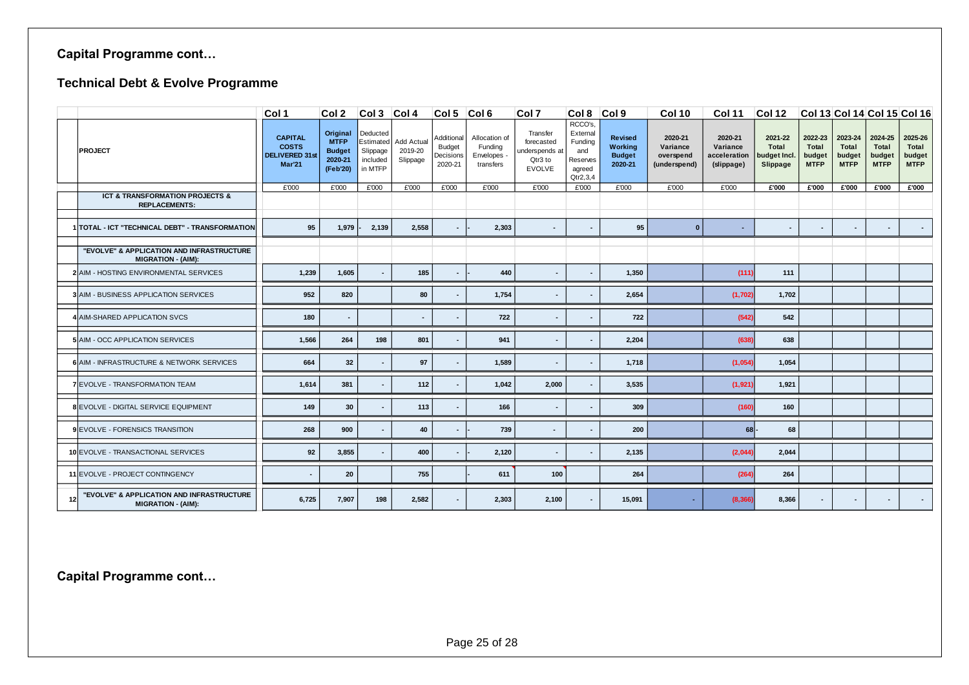# **Capital Programme cont…**

## **Technical Debt & Evolve Programme**

|    |                                                                        | Col 1                                                                   | Col 2                                                           | Col3 Col4                                   |                                             | $ Col5 $ Col 6                                      |                                                    | Col <sub>7</sub>                                                     | Col 8                                                                   | Col 9                                          | <b>Col 10</b>                                    | Col 11                                            | Col 12                                      |                                                  | Col 13 Col 14 Col 15 Col 16               |                                                  |                                           |
|----|------------------------------------------------------------------------|-------------------------------------------------------------------------|-----------------------------------------------------------------|---------------------------------------------|---------------------------------------------|-----------------------------------------------------|----------------------------------------------------|----------------------------------------------------------------------|-------------------------------------------------------------------------|------------------------------------------------|--------------------------------------------------|---------------------------------------------------|---------------------------------------------|--------------------------------------------------|-------------------------------------------|--------------------------------------------------|-------------------------------------------|
|    | <b>PROJECT</b>                                                         | <b>CAPITAL</b><br><b>COSTS</b><br><b>DELIVERED 31s</b><br><b>Mar'21</b> | Original<br><b>MTFP</b><br><b>Budget</b><br>2020-21<br>(Feb'20) | Deducted<br>Slippage<br>included<br>in MTFP | Estimated Add Actual<br>2019-20<br>Slippage | Additional<br><b>Budget</b><br>Decisions<br>2020-21 | Allocation of<br>Funding<br>Envelopes<br>transfers | Transfer<br>forecasted<br>underspends at<br>Qtr3 to<br><b>EVOLVE</b> | RCCO's.<br>External<br>Funding<br>and<br>Reserves<br>agreed<br>Qtr2,3,4 | Revised<br>Working<br><b>Budget</b><br>2020-21 | 2020-21<br>Variance<br>overspend<br>(underspend) | 2020-21<br>Variance<br>acceleration<br>(slippage) | 2021-22<br>Total<br>budget Incl<br>Slippage | 2022-23<br><b>Total</b><br>budget<br><b>MTFP</b> | 2023-24<br>Total<br>budget<br><b>MTFP</b> | 2024-25<br><b>Total</b><br>budget<br><b>MTFP</b> | 2025-26<br>Total<br>budget<br><b>MTFP</b> |
|    |                                                                        | £'000                                                                   | £'000                                                           | £'000                                       | £'000                                       | £'000                                               | £'000                                              | £'000                                                                | £'000                                                                   | £'000                                          | £'000                                            | £'000                                             | £'000                                       | £'000                                            | £'000                                     | £'000                                            | £'000                                     |
|    | <b>ICT &amp; TRANSFORMATION PROJECTS &amp;</b><br><b>REPLACEMENTS:</b> |                                                                         |                                                                 |                                             |                                             |                                                     |                                                    |                                                                      |                                                                         |                                                |                                                  |                                                   |                                             |                                                  |                                           |                                                  |                                           |
|    | TOTAL - ICT "TECHNICAL DEBT" - TRANSFORMATION                          | 95                                                                      | 1,979                                                           | 2,139                                       | 2,558                                       | $\sim$                                              | 2,303                                              | $\sim$                                                               | $\overline{\phantom{a}}$                                                | 95                                             | $\mathbf{0}$                                     | ×.                                                | $\blacksquare$                              | $\sim$                                           |                                           | ٠.                                               | $\sim$                                    |
|    | "EVOLVE" & APPLICATION AND INFRASTRUCTURE<br><b>MIGRATION - (AIM):</b> |                                                                         |                                                                 |                                             |                                             |                                                     |                                                    |                                                                      |                                                                         |                                                |                                                  |                                                   |                                             |                                                  |                                           |                                                  |                                           |
|    | 2 AIM - HOSTING ENVIRONMENTAL SERVICES                                 | 1,239                                                                   | 1,605                                                           |                                             | 185                                         | $\blacksquare$                                      | 440                                                | $\overline{\phantom{a}}$                                             | $\overline{\phantom{a}}$                                                | 1,350                                          |                                                  | (111)                                             | 111                                         |                                                  |                                           |                                                  |                                           |
|    | 3 AIM - BUSINESS APPLICATION SERVICES                                  | 952                                                                     | 820                                                             |                                             | 80                                          | $\overline{\phantom{a}}$                            | 1,754                                              | $\overline{\phantom{a}}$                                             |                                                                         | 2,654                                          |                                                  | (1,702)                                           | 1,702                                       |                                                  |                                           |                                                  |                                           |
|    | 4 AIM-SHARED APPLICATION SVCS                                          | 180                                                                     | $\blacksquare$                                                  |                                             | $\overline{\phantom{a}}$                    | $\overline{a}$                                      | 722                                                | $\overline{\phantom{a}}$                                             |                                                                         | 722                                            |                                                  | (542)                                             | 542                                         |                                                  |                                           |                                                  |                                           |
|    | <b>5 AIM - OCC APPLICATION SERVICES</b>                                | 1,566                                                                   | 264                                                             | 198                                         | 801                                         |                                                     | 941                                                | $\overline{a}$                                                       |                                                                         | 2,204                                          |                                                  | (638)                                             | 638                                         |                                                  |                                           |                                                  |                                           |
|    | <b>6 AIM - INFRASTRUCTURE &amp; NETWORK SERVICES</b>                   | 664                                                                     | 32                                                              |                                             | 97                                          | $\blacksquare$                                      | 1,589                                              | $\overline{\phantom{a}}$                                             |                                                                         | 1.718                                          |                                                  | (1,054)                                           | 1,054                                       |                                                  |                                           |                                                  |                                           |
|    | <b>7 EVOLVE - TRANSFORMATION TEAM</b>                                  | 1,614                                                                   | 381                                                             | $\overline{\phantom{a}}$                    | 112                                         | $\sim$                                              | 1,042                                              | 2,000                                                                |                                                                         | 3,535                                          |                                                  | (1, 921)                                          | 1,921                                       |                                                  |                                           |                                                  |                                           |
|    | 8 EVOLVE - DIGITAL SERVICE EQUIPMENT                                   | 149                                                                     | 30                                                              | $\overline{\phantom{a}}$                    | 113                                         | $\blacksquare$                                      | 166                                                | $\blacksquare$                                                       |                                                                         | 309                                            |                                                  | (160)                                             | 160                                         |                                                  |                                           |                                                  |                                           |
|    | <b>9 EVOLVE - FORENSICS TRANSITION</b>                                 | 268                                                                     | 900                                                             |                                             | 40                                          | $\blacksquare$                                      | 739                                                | $\blacksquare$                                                       |                                                                         | 200                                            |                                                  | 68                                                | 68                                          |                                                  |                                           |                                                  |                                           |
|    | 10 EVOLVE - TRANSACTIONAL SERVICES                                     | 92                                                                      | 3,855                                                           |                                             | 400                                         | $\blacksquare$                                      | 2,120                                              | $\overline{\phantom{a}}$                                             |                                                                         | 2,135                                          |                                                  | (2,044)                                           | 2,044                                       |                                                  |                                           |                                                  |                                           |
|    | 11 EVOLVE - PROJECT CONTINGENCY                                        |                                                                         | 20                                                              |                                             | 755                                         |                                                     | 611                                                | 100                                                                  |                                                                         | 264                                            |                                                  | (264)                                             | 264                                         |                                                  |                                           |                                                  |                                           |
| 12 | "EVOLVE" & APPLICATION AND INFRASTRUCTURE<br><b>MIGRATION - (AIM):</b> | 6.725                                                                   | 7,907                                                           | 198                                         | 2.582                                       | $\overline{\phantom{a}}$                            | 2.303                                              | 2,100                                                                | $\overline{a}$                                                          | 15.091                                         |                                                  | (8, 366)                                          | 8,366                                       |                                                  |                                           | $\overline{a}$                                   |                                           |

**Capital Programme cont…**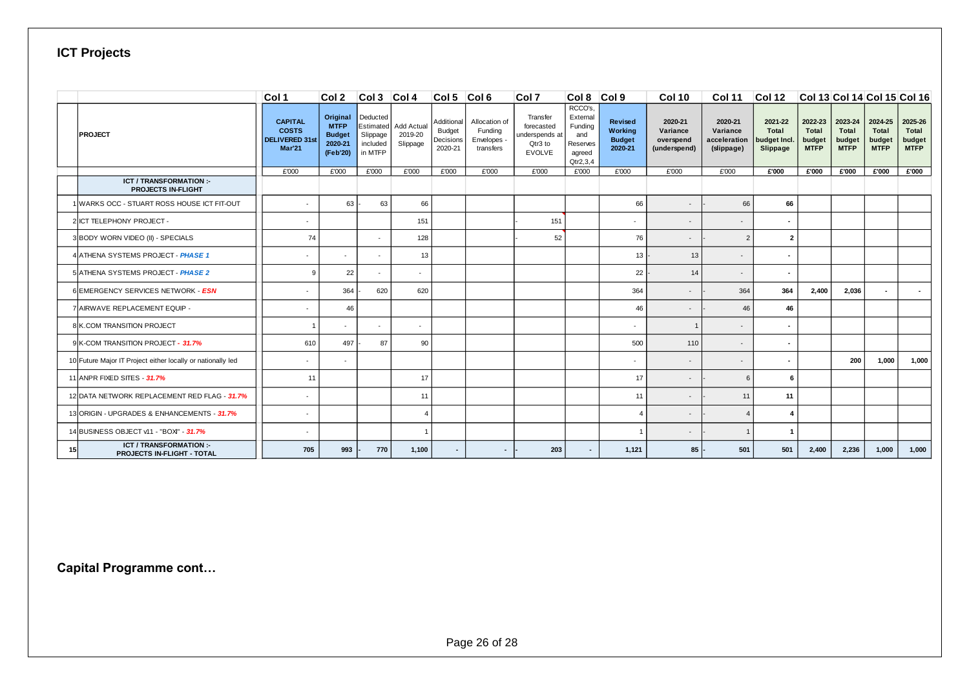# **ICT Projects**

|                                                              | Col 1                                                                   | Col 2                                                           | Col3 Col4                                                |                                   | $ Col 5 $ Col 6                                     |                                                      | Col 7                                                                | Col 8                                                                   | Col 9                                          | Col 10                                           | Col 11                                            | Col 12                                       |                                           |                                           |                                           | Col 13 Col 14 Col 15 Col 16               |
|--------------------------------------------------------------|-------------------------------------------------------------------------|-----------------------------------------------------------------|----------------------------------------------------------|-----------------------------------|-----------------------------------------------------|------------------------------------------------------|----------------------------------------------------------------------|-------------------------------------------------------------------------|------------------------------------------------|--------------------------------------------------|---------------------------------------------------|----------------------------------------------|-------------------------------------------|-------------------------------------------|-------------------------------------------|-------------------------------------------|
| <b>PROJECT</b>                                               | <b>CAPITAL</b><br><b>COSTS</b><br><b>DELIVERED 31s</b><br><b>Mar'21</b> | Original<br><b>MTFP</b><br><b>Budget</b><br>2020-21<br>(Feb'20) | Deducted<br>Estimated<br>Slippage<br>included<br>in MTFP | Add Actual<br>2019-20<br>Slippage | Additional<br><b>Budget</b><br>Decisions<br>2020-21 | Allocation of<br>Fundina<br>Envelopes -<br>transfers | Transfer<br>forecasted<br>underspends at<br>Qtr3 to<br><b>EVOLVE</b> | RCCO's,<br>External<br>Funding<br>and<br>Reserves<br>agreed<br>Qtr2,3,4 | Revised<br>Working<br><b>Budget</b><br>2020-21 | 2020-21<br>Variance<br>overspend<br>(underspend) | 2020-21<br>Variance<br>acceleration<br>(slippage) | 2021-22<br>Total<br>budget Incl.<br>Slippage | 2022-23<br>Total<br>budget<br><b>MTFP</b> | 2023-24<br>Total<br>budget<br><b>MTFP</b> | 2024-25<br>Total<br>budget<br><b>MTFP</b> | 2025-26<br>Total<br>budget<br><b>MTFP</b> |
|                                                              | £'000                                                                   | £'000                                                           | £'000                                                    | E'000                             | £'000                                               | £'000                                                | £'000                                                                | £'000                                                                   | £'000                                          | £'000                                            | £'000                                             | £'000                                        | £'000                                     | £'000                                     | £'000                                     | £'000                                     |
| <b>ICT / TRANSFORMATION :-</b><br><b>PROJECTS IN-FLIGHT</b>  |                                                                         |                                                                 |                                                          |                                   |                                                     |                                                      |                                                                      |                                                                         |                                                |                                                  |                                                   |                                              |                                           |                                           |                                           |                                           |
| 1 WARKS OCC - STUART ROSS HOUSE ICT FIT-OUT                  | $\overline{\phantom{a}}$                                                | 63                                                              | 63                                                       | 66                                |                                                     |                                                      |                                                                      |                                                                         | 66                                             | $\overline{\phantom{a}}$                         | 66                                                | 66                                           |                                           |                                           |                                           |                                           |
| 2 ICT TELEPHONY PROJECT -                                    |                                                                         |                                                                 |                                                          | 151                               |                                                     |                                                      | 151                                                                  |                                                                         | $\sim$                                         | $\overline{\phantom{a}}$                         | $\overline{\phantom{a}}$                          | ٠                                            |                                           |                                           |                                           |                                           |
| 3 BODY WORN VIDEO (II) - SPECIALS                            | 74                                                                      |                                                                 | $\overline{a}$                                           | 128                               |                                                     |                                                      | 52                                                                   |                                                                         | 76                                             | $\overline{\phantom{a}}$                         | $\overline{2}$                                    | $\overline{2}$                               |                                           |                                           |                                           |                                           |
| 4 ATHENA SYSTEMS PROJECT - PHASE 1                           |                                                                         |                                                                 |                                                          | 13                                |                                                     |                                                      |                                                                      |                                                                         | 13                                             | 13                                               | $\overline{\phantom{a}}$                          | ۰.                                           |                                           |                                           |                                           |                                           |
| 5 ATHENA SYSTEMS PROJECT - PHASE 2                           | g                                                                       | 22                                                              |                                                          |                                   |                                                     |                                                      |                                                                      |                                                                         | 22                                             | 14                                               | $\overline{\phantom{a}}$                          | $\sim$                                       |                                           |                                           |                                           |                                           |
| 6 EMERGENCY SERVICES NETWORK ESN                             |                                                                         | 364                                                             | 620                                                      | 620                               |                                                     |                                                      |                                                                      |                                                                         | 364                                            | $\overline{\phantom{a}}$                         | 364                                               | 364                                          | 2,400                                     | 2,036                                     |                                           |                                           |
| 7 AIRWAVE REPLACEMENT EQUIP -                                | $\overline{\phantom{a}}$                                                | 46                                                              |                                                          |                                   |                                                     |                                                      |                                                                      |                                                                         | 46                                             | $\overline{\phantom{a}}$                         | 46                                                | 46                                           |                                           |                                           |                                           |                                           |
| <b>8 K.COM TRANSITION PROJECT</b>                            |                                                                         | $\overline{\phantom{a}}$                                        |                                                          | $\overline{\phantom{a}}$          |                                                     |                                                      |                                                                      |                                                                         | $\sim$                                         | $\mathbf{1}$                                     | $\blacksquare$                                    | $\sim$                                       |                                           |                                           |                                           |                                           |
| 9 K-COM TRANSITION PROJECT - 31.7%                           | 610                                                                     | 497                                                             | 87                                                       | 90                                |                                                     |                                                      |                                                                      |                                                                         | 500                                            | 110                                              | $\overline{\phantom{a}}$                          | ٠                                            |                                           |                                           |                                           |                                           |
| 10 Future Major IT Project either locally or nationally led  | $\overline{\phantom{a}}$                                                |                                                                 |                                                          |                                   |                                                     |                                                      |                                                                      |                                                                         | $\overline{\phantom{a}}$                       | $\overline{\phantom{a}}$                         | $\overline{\phantom{a}}$                          | $\overline{\phantom{a}}$                     |                                           | 200                                       | 1,000                                     | 1,000                                     |
| 11 ANPR FIXED SITES - 31.7%                                  | 11                                                                      |                                                                 |                                                          | 17                                |                                                     |                                                      |                                                                      |                                                                         | 17                                             | $\overline{\phantom{a}}$                         | 6                                                 | 6                                            |                                           |                                           |                                           |                                           |
| 12 DATA NETWORK REPLACEMENT RED FLAG - 31.7%                 | $\blacksquare$                                                          |                                                                 |                                                          | 11                                |                                                     |                                                      |                                                                      |                                                                         | 11                                             | $\overline{\phantom{a}}$                         | 11                                                | 11                                           |                                           |                                           |                                           |                                           |
| 13 ORIGIN - UPGRADES & ENHANCEMENTS - 31.7%                  | $\overline{\phantom{a}}$                                                |                                                                 |                                                          |                                   |                                                     |                                                      |                                                                      |                                                                         |                                                | $\overline{\phantom{a}}$                         |                                                   | $\overline{4}$                               |                                           |                                           |                                           |                                           |
| 14 BUSINESS OBJECT v11 - "BOXI" - 31.7%                      | $\overline{\phantom{a}}$                                                |                                                                 |                                                          |                                   |                                                     |                                                      |                                                                      |                                                                         |                                                | $\overline{\phantom{a}}$                         |                                                   | -1                                           |                                           |                                           |                                           |                                           |
| <b>ICT / TRANSFORMATION :-</b><br>PROJECTS IN-FLIGHT - TOTAL | 705                                                                     | 993                                                             | 770                                                      | 1,100                             | $\sim$                                              | $\sim$                                               | 203                                                                  | ۰.                                                                      | 1,121                                          | 85                                               | 501                                               | 501                                          | 2,400                                     | 2,236                                     | 1,000                                     | 1,000                                     |

**Capital Programme cont…**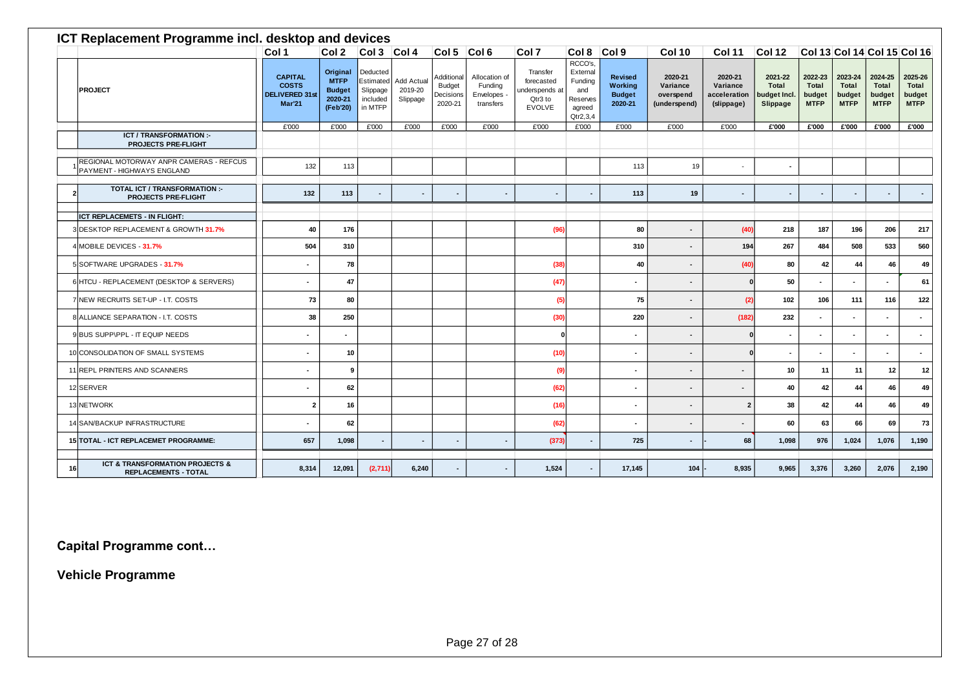|    | ICT Replacement Programme incl. desktop and devices                   |                                                                          |                                                                 |                                                          |                                   |                                                     |                                                      |                                                                     |                                                                         |                                                       |                                                  |                                                   |                                              |                                                  |                                           |                                           |                                           |
|----|-----------------------------------------------------------------------|--------------------------------------------------------------------------|-----------------------------------------------------------------|----------------------------------------------------------|-----------------------------------|-----------------------------------------------------|------------------------------------------------------|---------------------------------------------------------------------|-------------------------------------------------------------------------|-------------------------------------------------------|--------------------------------------------------|---------------------------------------------------|----------------------------------------------|--------------------------------------------------|-------------------------------------------|-------------------------------------------|-------------------------------------------|
|    |                                                                       | Col <sub>1</sub>                                                         | Col 2                                                           | Col3 Col4                                                |                                   | $ Col5 $ Col 6                                      |                                                      | Col 7                                                               | Col 8                                                                   | Col 9                                                 | Col 10                                           | Col 11                                            | Col12                                        |                                                  |                                           | Col 13 Col 14 Col 15 Col 16               |                                           |
|    | <b>PROJECT</b>                                                        | <b>CAPITAL</b><br><b>COSTS</b><br><b>DELIVERED 31st</b><br><b>Mar'21</b> | Original<br><b>MTFP</b><br><b>Budget</b><br>2020-21<br>(Feb'20) | Deducted<br>Estimated<br>Slippage<br>included<br>in MTFP | Add Actual<br>2019-20<br>Slippage | Additional<br><b>Budget</b><br>Decisions<br>2020-21 | Allocation of<br>Funding<br>Envelopes -<br>transfers | Transfer<br>forecasted<br>underspends a<br>Qtr3 to<br><b>EVOLVE</b> | RCCO's.<br>External<br>Funding<br>and<br>Reserves<br>agreed<br>Qtr2,3,4 | <b>Revised</b><br>Working<br><b>Budget</b><br>2020-21 | 2020-21<br>Variance<br>overspend<br>(underspend) | 2020-21<br>Variance<br>acceleration<br>(slippage) | 2021-22<br>Total<br>budget Incl.<br>Slippage | 2022-23<br><b>Total</b><br>budget<br><b>MTFP</b> | 2023-24<br>Total<br>budget<br><b>MTFP</b> | 2024-25<br>Total<br>budget<br><b>MTFP</b> | 2025-26<br>Total<br>budget<br><b>MTFP</b> |
|    | ICT / TRANSFORMATION :-                                               | £'000                                                                    | £'000                                                           | £'000                                                    | £'000                             | £'000                                               | £'000                                                | £'000                                                               | £'000                                                                   | £'000                                                 | £'000                                            | £'000                                             | £'000                                        | £'000                                            | £'000                                     | £'000                                     | £'000                                     |
|    | <b>PROJECTS PRE-FLIGHT</b>                                            |                                                                          |                                                                 |                                                          |                                   |                                                     |                                                      |                                                                     |                                                                         |                                                       |                                                  |                                                   |                                              |                                                  |                                           |                                           |                                           |
|    | REGIONAL MOTORWAY ANPR CAMERAS - REFCUS<br>PAYMENT - HIGHWAYS ENGLAND | 132                                                                      | 113                                                             |                                                          |                                   |                                                     |                                                      |                                                                     |                                                                         | 113                                                   | 19                                               | $\blacksquare$                                    | $\blacksquare$                               |                                                  |                                           |                                           |                                           |
|    | TOTAL ICT / TRANSFORMATION :-<br><b>PROJECTS PRE-FLIGHT</b>           | 132                                                                      | 113                                                             | $\overline{\phantom{a}}$                                 | $\blacksquare$                    | $\overline{a}$                                      | ٠                                                    | $\blacksquare$                                                      | $\overline{\phantom{a}}$                                                | 113                                                   | 19                                               | ٠                                                 | $\overline{\phantom{a}}$                     | $\overline{\phantom{a}}$                         | $\overline{\phantom{a}}$                  | $\overline{\phantom{a}}$                  |                                           |
|    | ICT REPLACEMETS - IN FLIGHT:                                          |                                                                          |                                                                 |                                                          |                                   |                                                     |                                                      |                                                                     |                                                                         |                                                       |                                                  |                                                   |                                              |                                                  |                                           |                                           |                                           |
|    | DESKTOP REPLACEMENT & GROWTH 31.7%                                    | 40                                                                       | 176                                                             |                                                          |                                   |                                                     |                                                      | (96)                                                                |                                                                         | 80                                                    |                                                  | (40)                                              | 218                                          | 187                                              | 196                                       | 206                                       | 217                                       |
|    | MOBILE DEVICES - 31.7%                                                | 504                                                                      | 310                                                             |                                                          |                                   |                                                     |                                                      |                                                                     |                                                                         | 310                                                   |                                                  | 194                                               | 267                                          | 484                                              | 508                                       | 533                                       | 560                                       |
|    | 5SOFTWARE UPGRADES - 31.7%                                            |                                                                          | 78                                                              |                                                          |                                   |                                                     |                                                      | (38)                                                                |                                                                         | 40                                                    |                                                  | (40)                                              | 80                                           | 42                                               | 44                                        | 46                                        | 49                                        |
|    | 6 HTCU - REPLACEMENT (DESKTOP & SERVERS)                              |                                                                          | 47                                                              |                                                          |                                   |                                                     |                                                      | (47)                                                                |                                                                         | $\overline{\phantom{a}}$                              |                                                  |                                                   | 50                                           | ٠                                                |                                           |                                           | 61                                        |
|    | 7 NEW RECRUITS SET-UP - I.T. COSTS                                    | 73                                                                       | 80                                                              |                                                          |                                   |                                                     |                                                      | (5)                                                                 |                                                                         | 75                                                    |                                                  | (2)                                               | 102                                          | 106                                              | 111                                       | 116                                       | 122                                       |
|    | 8 ALLIANCE SEPARATION - I.T. COSTS                                    | 38                                                                       | 250                                                             |                                                          |                                   |                                                     |                                                      | (30)                                                                |                                                                         | 220                                                   |                                                  | (182)                                             | 232                                          |                                                  |                                           |                                           |                                           |
|    | 9 BUS SUPP\PPL - IT EQUIP NEEDS                                       |                                                                          |                                                                 |                                                          |                                   |                                                     |                                                      |                                                                     |                                                                         | $\overline{\phantom{a}}$                              |                                                  |                                                   | $\overline{\phantom{a}}$                     |                                                  |                                           |                                           | $\blacksquare$                            |
|    | 10 CONSOLIDATION OF SMALL SYSTEMS                                     |                                                                          | 10                                                              |                                                          |                                   |                                                     |                                                      | (10)                                                                |                                                                         | $\overline{a}$                                        |                                                  | $\Omega$                                          | $\blacksquare$                               |                                                  | ٠                                         |                                           | $\overline{a}$                            |
|    | 11 REPL PRINTERS AND SCANNERS                                         |                                                                          | 9                                                               |                                                          |                                   |                                                     |                                                      | (9)                                                                 |                                                                         | $\sim$                                                |                                                  | $\blacksquare$                                    | 10                                           | 11                                               | 11                                        | 12                                        | 12                                        |
|    | 12 SERVER                                                             |                                                                          | 62                                                              |                                                          |                                   |                                                     |                                                      | (62)                                                                |                                                                         | ٠                                                     |                                                  | $\overline{\phantom{a}}$                          | 40                                           | 42                                               | 44                                        | 46                                        | 49                                        |
|    | 13 NETWORK                                                            | $\overline{2}$                                                           | 16                                                              |                                                          |                                   |                                                     |                                                      | (16)                                                                |                                                                         | $\overline{\phantom{a}}$                              |                                                  | $\overline{2}$                                    | 38                                           | 42                                               | 44                                        | 46                                        | 49                                        |
|    | 14 SAN/BACKUP INFRASTRUCTURE                                          |                                                                          | 62                                                              |                                                          |                                   |                                                     |                                                      | (62)                                                                |                                                                         | $\blacksquare$                                        |                                                  | $\overline{\phantom{a}}$                          | 60                                           | 63                                               | 66                                        | 69                                        | 73                                        |
|    | <b>15 TOTAL - ICT REPLACEMET PROGRAMME:</b>                           | 657                                                                      | 1.098                                                           | ٠                                                        | $\overline{\phantom{a}}$          |                                                     | $\overline{\phantom{a}}$                             | (373)                                                               |                                                                         | 725                                                   |                                                  | 68                                                | 1.098                                        | 976                                              | 1,024                                     | 1.076                                     | 1,190                                     |
| 16 | ICT & TRANSFORMATION PROJECTS &<br><b>REPLACEMENTS - TOTAL</b>        | 8,314                                                                    | 12,091                                                          | (2,711)                                                  | 6,240                             |                                                     | $\overline{\phantom{a}}$                             | 1,524                                                               |                                                                         | 17,145                                                | 104                                              | 8,935                                             | 9,965                                        | 3,376                                            | 3,260                                     | 2,076                                     | 2,190                                     |

**Capital Programme cont…**

**Vehicle Programme**